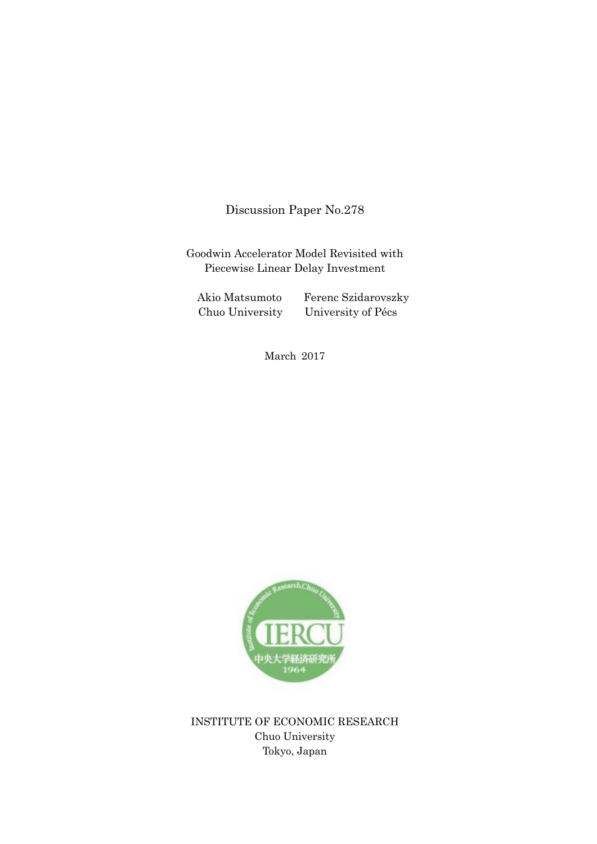Discussion Paper No.278

Goodwin Accelerator Model Revisited with Piecewise Linear Delay Investment

Akio Matsumoto Ferenc Szidarovszky Chuo University University of Pécs

March 2017



INSTITUTE OF ECONOMIC RESEARCH Chuo University Tokyo, Japan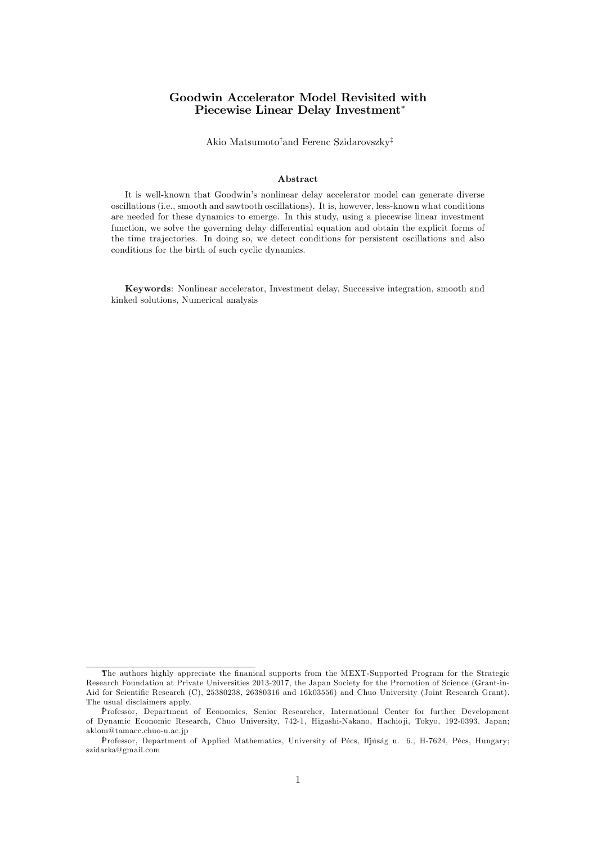## Goodwin Accelerator Model Revisited with Piecewise Linear Delay Investment

Akio Matsumoto<sup>†</sup>and Ferenc Szidarovszky<sup>‡</sup>

#### Abstract

It is well-known that Goodwin's nonlinear delay accelerator model can generate diverse oscillations (i.e., smooth and sawtooth oscillations). It is, however, less-known what conditions are needed for these dynamics to emerge. In this study, using a piecewise linear investment function, we solve the governing delay differential equation and obtain the explicit forms of the time trajectories. In doing so, we detect conditions for persistent oscillations and also conditions for the birth of such cyclic dynamics.

Keywords: Nonlinear accelerator, Investment delay, Successive integration, smooth and kinked solutions, Numerical analysis

The authors highly appreciate the finanical supports from the MEXT-Supported Program for the Strategic Research Foundation at Private Universities 2013-2017, the Japan Society for the Promotion of Science (Grant-in-Aid for Scientific Research (C), 25380238, 26380316 and 16k03556) and Chuo University (Joint Research Grant). The usual disclaimers apply.

Professor, Department of Economics, Senior Researcher, International Center for further Development of Dynamic Economic Research, Chuo University, 742-1, Higashi-Nakano, Hachio ji, Tokyo, 192-0393, Japan; akiom@tamacc.chuo-u.ac.jp

Professor, Department of Applied Mathematics, University of Pécs, Ifjúság u. 6., H-7624, Pécs, Hungary; szidarka@gmail.com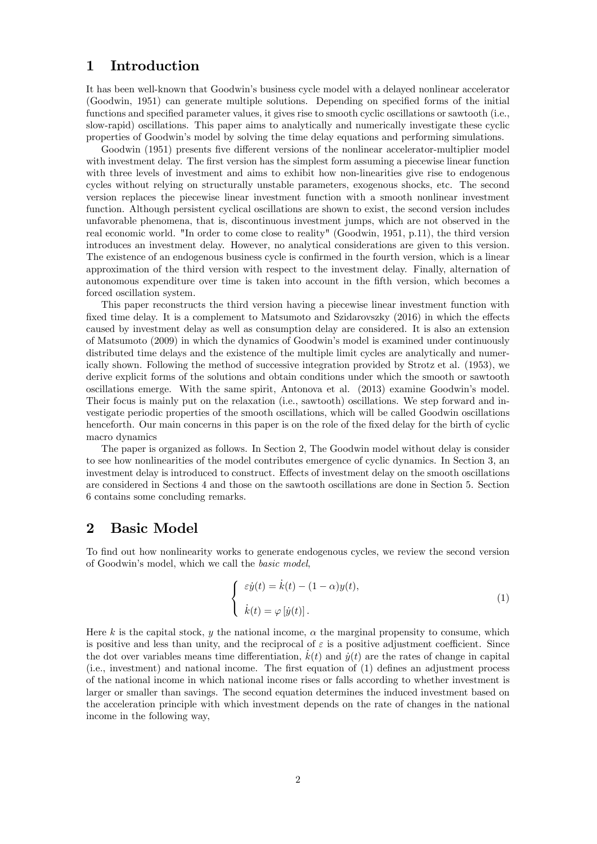## 1 Introduction

It has been well-known that Goodwin's business cycle model with a delayed nonlinear accelerator (Goodwin, 1951) can generate multiple solutions. Depending on specified forms of the initial functions and specified parameter values, it gives rise to smooth cyclic oscillations or sawtooth (i.e., slow-rapid) oscillations. This paper aims to analytically and numerically investigate these cyclic properties of Goodwinís model by solving the time delay equations and performing simulations.

Goodwin (1951) presents five different versions of the nonlinear accelerator-multiplier model with investment delay. The first version has the simplest form assuming a piecewise linear function with three levels of investment and aims to exhibit how non-linearities give rise to endogenous cycles without relying on structurally unstable parameters, exogenous shocks, etc. The second version replaces the piecewise linear investment function with a smooth nonlinear investment function. Although persistent cyclical oscillations are shown to exist, the second version includes unfavorable phenomena, that is, discontinuous investment jumps, which are not observed in the real economic world. "In order to come close to reality" (Goodwin, 1951, p.11), the third version introduces an investment delay. However, no analytical considerations are given to this version. The existence of an endogenous business cycle is confirmed in the fourth version, which is a linear approximation of the third version with respect to the investment delay. Finally, alternation of autonomous expenditure over time is taken into account in the fifth version, which becomes a forced oscillation system.

This paper reconstructs the third version having a piecewise linear investment function with fixed time delay. It is a complement to Matsumoto and Szidarovszky  $(2016)$  in which the effects caused by investment delay as well as consumption delay are considered. It is also an extension of Matsumoto (2009) in which the dynamics of Goodwin's model is examined under continuously distributed time delays and the existence of the multiple limit cycles are analytically and numerically shown. Following the method of successive integration provided by Strotz et al. (1953), we derive explicit forms of the solutions and obtain conditions under which the smooth or sawtooth oscillations emerge. With the same spirit, Antonova et al. (2013) examine Goodwin's model. Their focus is mainly put on the relaxation (i.e., sawtooth) oscillations. We step forward and investigate periodic properties of the smooth oscillations, which will be called Goodwin oscillations henceforth. Our main concerns in this paper is on the role of the fixed delay for the birth of cyclic macro dynamics

The paper is organized as follows. In Section 2, The Goodwin model without delay is consider to see how nonlinearities of the model contributes emergence of cyclic dynamics. In Section 3, an investment delay is introduced to construct. Effects of investment delay on the smooth oscillations are considered in Sections 4 and those on the sawtooth oscillations are done in Section 5. Section 6 contains some concluding remarks.

## 2 Basic Model

To find out how nonlinearity works to generate endogenous cycles, we review the second version of Goodwin's model, which we call the *basic model*,

$$
\begin{cases}\n\varepsilon \dot{y}(t) = \dot{k}(t) - (1 - \alpha)y(t), \\
\dot{k}(t) = \varphi[\dot{y}(t)].\n\end{cases} (1)
$$

Here k is the capital stock, y the national income,  $\alpha$  the marginal propensity to consume, which is positive and less than unity, and the reciprocal of  $\varepsilon$  is a positive adjustment coefficient. Since the dot over variables means time differentiation,  $k(t)$  and  $\dot{y}(t)$  are the rates of change in capital (i.e., investment) and national income. The first equation of (1) defines an adjustment process of the national income in which national income rises or falls according to whether investment is larger or smaller than savings. The second equation determines the induced investment based on the acceleration principle with which investment depends on the rate of changes in the national income in the following way,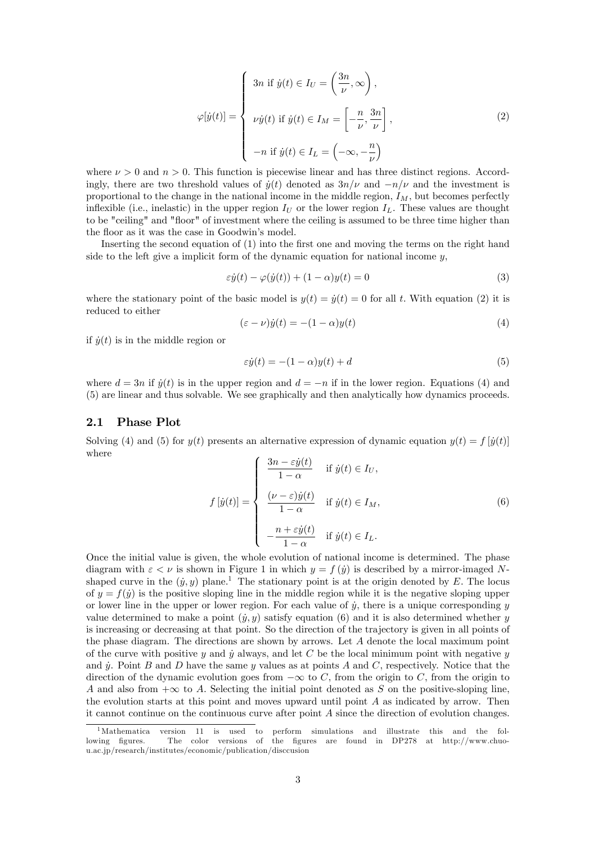$$
\varphi[\dot{y}(t)] = \begin{cases}\n3n \text{ if } \dot{y}(t) \in I_U = \left(\frac{3n}{\nu}, \infty\right), \\
\nu \dot{y}(t) \text{ if } \dot{y}(t) \in I_M = \left[-\frac{n}{\nu}, \frac{3n}{\nu}\right], \\
-n \text{ if } \dot{y}(t) \in I_L = \left(-\infty, -\frac{n}{\nu}\right)\n\end{cases}
$$
\n(2)

where  $\nu > 0$  and  $n > 0$ . This function is piecewise linear and has three distinct regions. Accordingly, there are two threshold values of  $\dot{y}(t)$  denoted as  $3n/\nu$  and  $-n/\nu$  and the investment is proportional to the change in the national income in the middle region,  $I_M$ , but becomes perfectly inflexible (i.e., inelastic) in the upper region  $I_U$  or the lower region  $I_L$ . These values are thought to be "ceiling" and "floor" of investment where the ceiling is assumed to be three time higher than the floor as it was the case in Goodwin's model.

Inserting the second equation of (1) into the first one and moving the terms on the right hand side to the left give a implicit form of the dynamic equation for national income  $y$ ,

$$
\varepsilon \dot{y}(t) - \varphi(\dot{y}(t)) + (1 - \alpha)y(t) = 0 \tag{3}
$$

where the stationary point of the basic model is  $y(t) = \dot{y}(t) = 0$  for all t. With equation (2) it is reduced to either

$$
(\varepsilon - \nu)\dot{y}(t) = -(1 - \alpha)y(t) \tag{4}
$$

if  $\dot{y}(t)$  is in the middle region or

$$
\varepsilon \dot{y}(t) = -(1 - \alpha)y(t) + d \tag{5}
$$

where  $d = 3n$  if  $\dot{y}(t)$  is in the upper region and  $d = -n$  if in the lower region. Equations (4) and (5) are linear and thus solvable. We see graphically and then analytically how dynamics proceeds.

#### 2.1 Phase Plot

Solving (4) and (5) for  $y(t)$  presents an alternative expression of dynamic equation  $y(t) = f(y(t))$ where

$$
f\left[\dot{y}(t)\right] = \begin{cases} \frac{3n - \varepsilon \dot{y}(t)}{1 - \alpha} & \text{if } \dot{y}(t) \in I_U, \\ \frac{(\nu - \varepsilon)\dot{y}(t)}{1 - \alpha} & \text{if } \dot{y}(t) \in I_M, \\ -\frac{n + \varepsilon \dot{y}(t)}{1 - \alpha} & \text{if } \dot{y}(t) \in I_L. \end{cases}
$$
(6)

Once the initial value is given, the whole evolution of national income is determined. The phase diagram with  $\varepsilon < \nu$  is shown in Figure 1 in which  $y = f(y)$  is described by a mirror-imaged Nshaped curve in the  $(y, y)$  plane.<sup>1</sup> The stationary point is at the origin denoted by E. The locus of  $y = f(\dot{y})$  is the positive sloping line in the middle region while it is the negative sloping upper or lower line in the upper or lower region. For each value of  $\dot{y}$ , there is a unique corresponding  $y$ value determined to make a point  $(y, y)$  satisfy equation (6) and it is also determined whether y is increasing or decreasing at that point. So the direction of the trajectory is given in all points of the phase diagram. The directions are shown by arrows. Let A denote the local maximum point of the curve with positive y and y always, and let C be the local minimum point with negative y and y. Point B and D have the same y values as at points A and C, respectively. Notice that the direction of the dynamic evolution goes from  $-\infty$  to C, from the origin to C, from the origin to A and also from  $+\infty$  to A. Selecting the initial point denoted as S on the positive-sloping line, the evolution starts at this point and moves upward until point  $A$  as indicated by arrow. Then it cannot continue on the continuous curve after point A since the direction of evolution changes.

<sup>&</sup>lt;sup>1</sup>Mathematica version 11 is used to perform simulations and illustrate this and the following figures. The color versions of the figures are found in DP278 at http://www.chuou.ac.jp/research/institutes/economic/publication/disccusion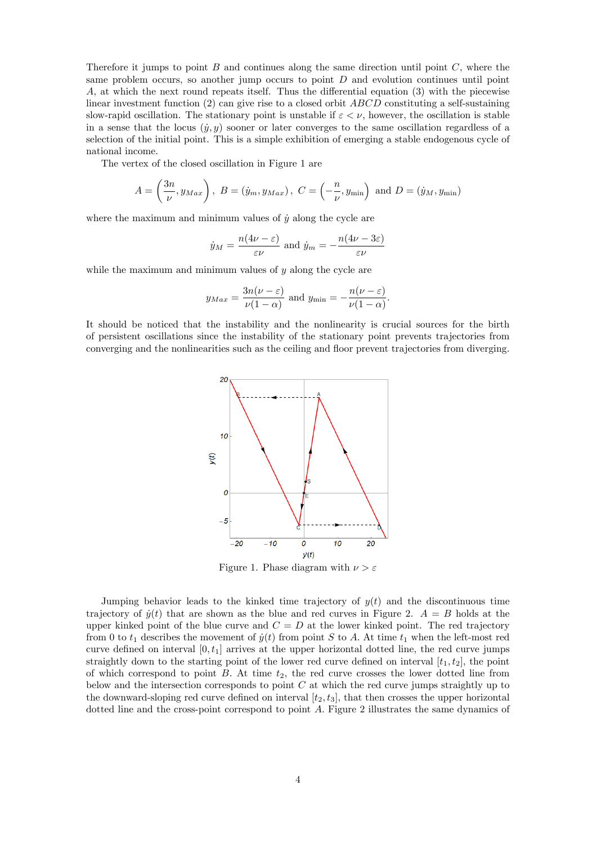Therefore it jumps to point  $B$  and continues along the same direction until point  $C$ , where the same problem occurs, so another jump occurs to point  $D$  and evolution continues until point A, at which the next round repeats itself. Thus the differential equation  $(3)$  with the piecewise linear investment function (2) can give rise to a closed orbit ABCD constituting a self-sustaining slow-rapid oscillation. The stationary point is unstable if  $\varepsilon < \nu$ , however, the oscillation is stable in a sense that the locus  $(y, y)$  sooner or later converges to the same oscillation regardless of a selection of the initial point. This is a simple exhibition of emerging a stable endogenous cycle of national income.

The vertex of the closed oscillation in Figure 1 are

$$
A = \left(\frac{3n}{\nu}, y_{Max}\right), B = \left(\dot{y}_m, y_{Max}\right), C = \left(-\frac{n}{\nu}, y_{min}\right) \text{ and } D = \left(\dot{y}_M, y_{min}\right)
$$

where the maximum and minimum values of  $\dot{y}$  along the cycle are

$$
\dot{y}_M = \frac{n(4\nu - \varepsilon)}{\varepsilon \nu}
$$
 and  $\dot{y}_m = -\frac{n(4\nu - 3\varepsilon)}{\varepsilon \nu}$ 

while the maximum and minimum values of  $y$  along the cycle are

$$
y_{Max} = \frac{3n(\nu - \varepsilon)}{\nu(1 - \alpha)}
$$
 and  $y_{min} = -\frac{n(\nu - \varepsilon)}{\nu(1 - \alpha)}$ .

It should be noticed that the instability and the nonlinearity is crucial sources for the birth of persistent oscillations since the instability of the stationary point prevents trajectories from converging and the nonlinearities such as the ceiling and áoor prevent trajectories from diverging.



Figure 1. Phase diagram with  $\nu > \varepsilon$ 

Jumping behavior leads to the kinked time trajectory of  $y(t)$  and the discontinuous time trajectory of  $\dot{y}(t)$  that are shown as the blue and red curves in Figure 2.  $A = B$  holds at the upper kinked point of the blue curve and  $C = D$  at the lower kinked point. The red trajectory from 0 to  $t_1$  describes the movement of  $\dot{y}(t)$  from point S to A. At time  $t_1$  when the left-most red curve defined on interval  $[0, t<sub>1</sub>]$  arrives at the upper horizontal dotted line, the red curve jumps straightly down to the starting point of the lower red curve defined on interval  $[t_1, t_2]$ , the point of which correspond to point  $B$ . At time  $t_2$ , the red curve crosses the lower dotted line from below and the intersection corresponds to point  $C$  at which the red curve jumps straightly up to the downward-sloping red curve defined on interval  $[t_2, t_3]$ , that then crosses the upper horizontal dotted line and the cross-point correspond to point A: Figure 2 illustrates the same dynamics of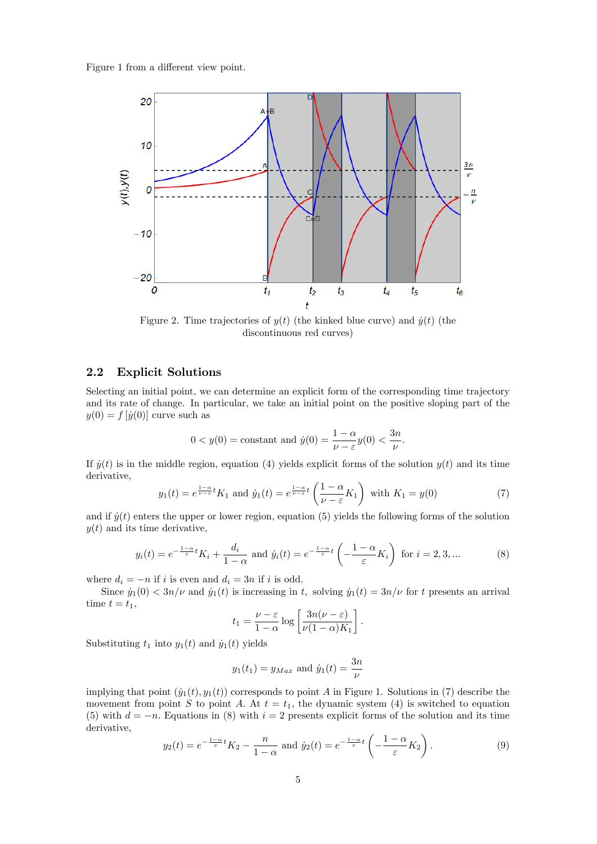Figure 1 from a different view point.



Figure 2. Time trajectories of  $y(t)$  (the kinked blue curve) and  $\dot{y}(t)$  (the discontinuous red curves)

## 2.2 Explicit Solutions

Selecting an initial point, we can determine an explicit form of the corresponding time trajectory and its rate of change. In particular, we take an initial point on the positive sloping part of the  $y(0) = f[\dot{y}(0)]$  curve such as

$$
0 < y(0) = \text{constant and } \dot{y}(0) = \frac{1 - \alpha}{\nu - \varepsilon} y(0) < \frac{3n}{\nu}.
$$

If  $\dot{y}(t)$  is in the middle region, equation (4) yields explicit forms of the solution  $y(t)$  and its time derivative,

$$
y_1(t) = e^{\frac{1-\alpha}{\nu-\varepsilon}t} K_1 \text{ and } \dot{y}_1(t) = e^{\frac{1-\alpha}{\nu-\varepsilon}t} \left(\frac{1-\alpha}{\nu-\varepsilon} K_1\right) \text{ with } K_1 = y(0)
$$
 (7)

and if  $\dot{y}(t)$  enters the upper or lower region, equation (5) yields the following forms of the solution  $y(t)$  and its time derivative,

$$
y_i(t) = e^{-\frac{1-\alpha}{\varepsilon}t} K_i + \frac{d_i}{1-\alpha} \text{ and } \dot{y}_i(t) = e^{-\frac{1-\alpha}{\varepsilon}t} \left(-\frac{1-\alpha}{\varepsilon} K_i\right) \text{ for } i = 2, 3, ... \tag{8}
$$

where  $d_i = -n$  if i is even and  $d_i = 3n$  if i is odd.

Since  $\dot{y}_1(0) < 3n/\nu$  and  $\dot{y}_1(t)$  is increasing in t, solving  $\dot{y}_1(t) = 3n/\nu$  for t presents an arrival time  $t = t_1$ ,

$$
t_1 = \frac{\nu - \varepsilon}{1 - \alpha} \log \left[ \frac{3n(\nu - \varepsilon)}{\nu (1 - \alpha) K_1} \right].
$$

Substituting  $t_1$  into  $y_1(t)$  and  $\dot{y}_1(t)$  yields

$$
y_1(t_1) = y_{Max}
$$
 and  $\dot{y}_1(t) = \frac{3n}{\nu}$ 

implying that point  $(\dot{y}_1(t), y_1(t))$  corresponds to point A in Figure 1. Solutions in (7) describe the movement from point S to point A. At  $t = t_1$ , the dynamic system (4) is switched to equation (5) with  $d = -n$ . Equations in (8) with  $i = 2$  presents explicit forms of the solution and its time derivative,

$$
y_2(t) = e^{-\frac{1-\alpha}{\varepsilon}t} K_2 - \frac{n}{1-\alpha} \text{ and } \dot{y}_2(t) = e^{-\frac{1-\alpha}{\varepsilon}t} \left(-\frac{1-\alpha}{\varepsilon} K_2\right). \tag{9}
$$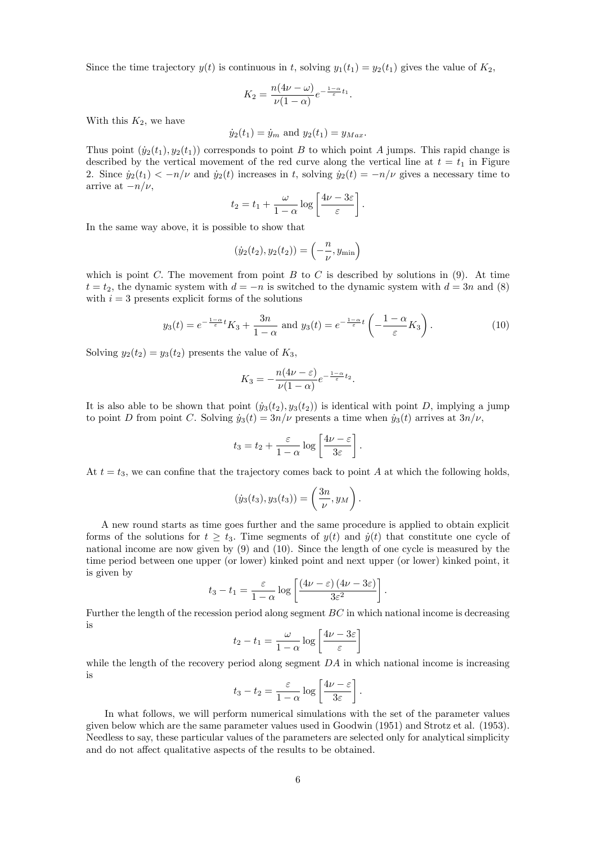Since the time trajectory  $y(t)$  is continuous in t, solving  $y_1(t_1) = y_2(t_1)$  gives the value of  $K_2$ ,

$$
K_2 = \frac{n(4\nu - \omega)}{\nu(1 - \alpha)} e^{-\frac{1 - \alpha}{\varepsilon}t_1}.
$$

With this  $K_2$ , we have

$$
\dot{y}_2(t_1) = \dot{y}_m
$$
 and  $y_2(t_1) = y_{Max}$ .

Thus point  $(y_2(t_1), y_2(t_1))$  corresponds to point B to which point A jumps. This rapid change is described by the vertical movement of the red curve along the vertical line at  $t = t_1$  in Figure 2. Since  $\dot{y}_2(t_1) < -n/\nu$  and  $\dot{y}_2(t)$  increases in t, solving  $\dot{y}_2(t) = -n/\nu$  gives a necessary time to arrive at  $-n/\nu$ ,

$$
t_2 = t_1 + \frac{\omega}{1-\alpha} \log \left[ \frac{4\nu - 3\varepsilon}{\varepsilon} \right].
$$

In the same way above, it is possible to show that

$$
(\dot{y}_2(t_2), y_2(t_2)) = \left(-\frac{n}{\nu}, y_{\min}\right)
$$

which is point C. The movement from point B to C is described by solutions in  $(9)$ . At time  $t = t_2$ , the dynamic system with  $d = -n$  is switched to the dynamic system with  $d = 3n$  and (8) with  $i = 3$  presents explicit forms of the solutions

$$
y_3(t) = e^{-\frac{1-\alpha}{\varepsilon}t} K_3 + \frac{3n}{1-\alpha} \text{ and } y_3(t) = e^{-\frac{1-\alpha}{\varepsilon}t} \left(-\frac{1-\alpha}{\varepsilon} K_3\right). \tag{10}
$$

Solving  $y_2(t_2) = y_3(t_2)$  presents the value of  $K_3$ ,

$$
K_3 = -\frac{n(4\nu - \varepsilon)}{\nu(1 - \alpha)} e^{-\frac{1 - \alpha}{\varepsilon}t_2}.
$$

It is also able to be shown that point  $(y_3(t_2), y_3(t_2))$  is identical with point D, implying a jump to point D from point C. Solving  $\dot{y}_3(t) = 3n/\nu$  presents a time when  $\dot{y}_3(t)$  arrives at  $3n/\nu$ ,

$$
t_3 = t_2 + \frac{\varepsilon}{1 - \alpha} \log \left[ \frac{4\nu - \varepsilon}{3\varepsilon} \right].
$$

At  $t = t_3$ , we can confine that the trajectory comes back to point A at which the following holds,

$$
(\dot{y}_3(t_3), y_3(t_3)) = \left(\frac{3n}{\nu}, y_M\right).
$$

A new round starts as time goes further and the same procedure is applied to obtain explicit forms of the solutions for  $t > t_3$ . Time segments of  $y(t)$  and  $\dot{y}(t)$  that constitute one cycle of national income are now given by (9) and (10). Since the length of one cycle is measured by the time period between one upper (or lower) kinked point and next upper (or lower) kinked point, it is given by

$$
t_3 - t_1 = \frac{\varepsilon}{1 - \alpha} \log \left[ \frac{(4\nu - \varepsilon) (4\nu - 3\varepsilon)}{3\varepsilon^2} \right].
$$

Further the length of the recession period along segment  $BC$  in which national income is decreasing is  $\overline{1}$ 

$$
t_2 - t_1 = \frac{\omega}{1 - \alpha} \log \left[ \frac{4\nu - 3\varepsilon}{\varepsilon} \right]
$$

while the length of the recovery period along segment  $DA$  in which national income is increasing is

$$
t_3 - t_2 = \frac{\varepsilon}{1 - \alpha} \log \left[ \frac{4\nu - \varepsilon}{3\varepsilon} \right].
$$

In what follows, we will perform numerical simulations with the set of the parameter values given below which are the same parameter values used in Goodwin (1951) and Strotz et al. (1953). Needless to say, these particular values of the parameters are selected only for analytical simplicity and do not affect qualitative aspects of the results to be obtained.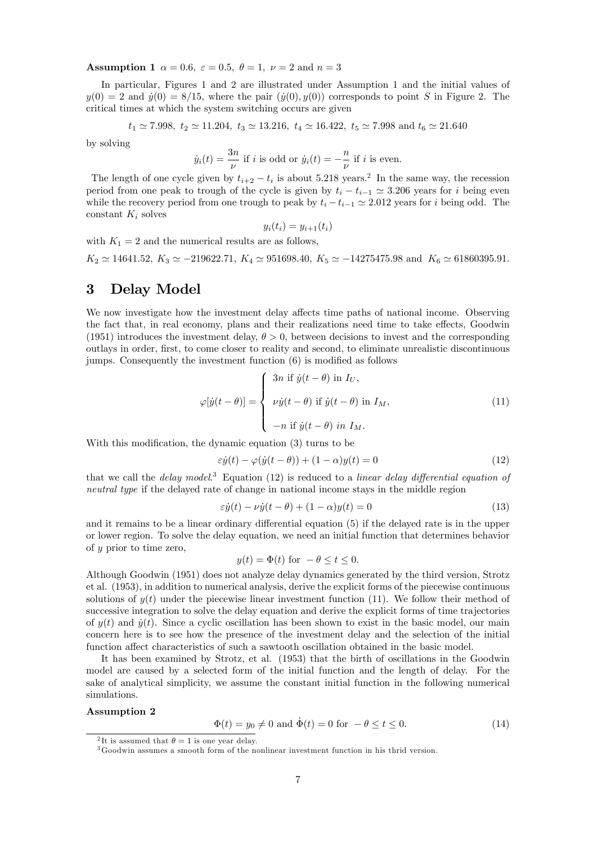Assumption 1  $\alpha = 0.6$ ,  $\varepsilon = 0.5$ ,  $\theta = 1$ ,  $\nu = 2$  and  $n = 3$ 

In particular, Figures 1 and 2 are illustrated under Assumption 1 and the initial values of  $y(0) = 2$  and  $\dot{y}(0) = 8/15$ , where the pair  $(\dot{y}(0), y(0))$  corresponds to point S in Figure 2. The critical times at which the system switching occurs are given

$$
t_1 \simeq 7.998
$$
,  $t_2 \simeq 11.204$ ,  $t_3 \simeq 13.216$ ,  $t_4 \simeq 16.422$ ,  $t_5 \simeq 7.998$  and  $t_6 \simeq 21.640$ 

by solving

$$
\dot{y}_i(t) = \frac{3n}{\nu}
$$
 if *i* is odd or  $\dot{y}_i(t) = -\frac{n}{\nu}$  if *i* is even.

The length of one cycle given by  $t_{i+2} - t_i$  is about 5.218 years.<sup>2</sup> In the same way, the recession period from one peak to trough of the cycle is given by  $t_i - t_{i-1} \simeq 3.206$  years for i being even while the recovery period from one trough to peak by  $t_i - t_{i-1} \simeq 2.012$  years for i being odd. The constant  $K_i$  solves

$$
y_i(t_i) = y_{i+1}(t_i)
$$

with  $K_1 = 2$  and the numerical results are as follows,

 $K_2 \simeq 14641.52$ ,  $K_3 \simeq -219622.71$ ,  $K_4 \simeq 951698.40$ ,  $K_5 \simeq -14275475.98$  and  $K_6 \simeq 61860395.91$ .

# 3 Delay Model

We now investigate how the investment delay affects time paths of national income. Observing the fact that, in real economy, plans and their realizations need time to take effects, Goodwin (1951) introduces the investment delay,  $\theta > 0$ , between decisions to invest and the corresponding outlays in order, Örst, to come closer to reality and second, to eliminate unrealistic discontinuous jumps. Consequently the investment function  $(6)$  is modified as follows

$$
\varphi[\dot{y}(t-\theta)] = \begin{cases} 3n \text{ if } \dot{y}(t-\theta) \text{ in } I_U, \\ \nu \dot{y}(t-\theta) \text{ if } \dot{y}(t-\theta) \text{ in } I_M, \\ -n \text{ if } \dot{y}(t-\theta) \text{ in } I_M. \end{cases}
$$
(11)

With this modification, the dynamic equation  $(3)$  turns to be

$$
\varepsilon \dot{y}(t) - \varphi(\dot{y}(t-\theta)) + (1-\alpha)y(t) = 0 \tag{12}
$$

that we call the *delay model.*<sup>3</sup> Equation (12) is reduced to a *linear delay differential equation of* neutral type if the delayed rate of change in national income stays in the middle region

$$
\varepsilon \dot{y}(t) - \nu \dot{y}(t - \theta) + (1 - \alpha)y(t) = 0 \tag{13}
$$

and it remains to be a linear ordinary differential equation (5) if the delayed rate is in the upper or lower region. To solve the delay equation, we need an initial function that determines behavior of y prior to time zero,

$$
y(t) = \Phi(t) \text{ for } -\theta \le t \le 0.
$$

Although Goodwin (1951) does not analyze delay dynamics generated by the third version, Strotz et al. (1953), in addition to numerical analysis, derive the explicit forms of the piecewise continuous solutions of  $y(t)$  under the piecewise linear investment function (11). We follow their method of successive integration to solve the delay equation and derive the explicit forms of time trajectories of  $y(t)$  and  $\dot{y}(t)$ . Since a cyclic oscillation has been shown to exist in the basic model, our main concern here is to see how the presence of the investment delay and the selection of the initial function affect characteristics of such a sawtooth oscillation obtained in the basic model.

It has been examined by Strotz, et al. (1953) that the birth of oscillations in the Goodwin model are caused by a selected form of the initial function and the length of delay. For the sake of analytical simplicity, we assume the constant initial function in the following numerical simulations.

#### Assumption 2

$$
\Phi(t) = y_0 \neq 0 \text{ and } \dot{\Phi}(t) = 0 \text{ for } -\theta \le t \le 0. \tag{14}
$$

<sup>&</sup>lt;sup>2</sup>It is assumed that  $\theta = 1$  is one year delay.

<sup>3</sup>Goodwin assumes a smooth form of the nonlinear investment function in his thrid version.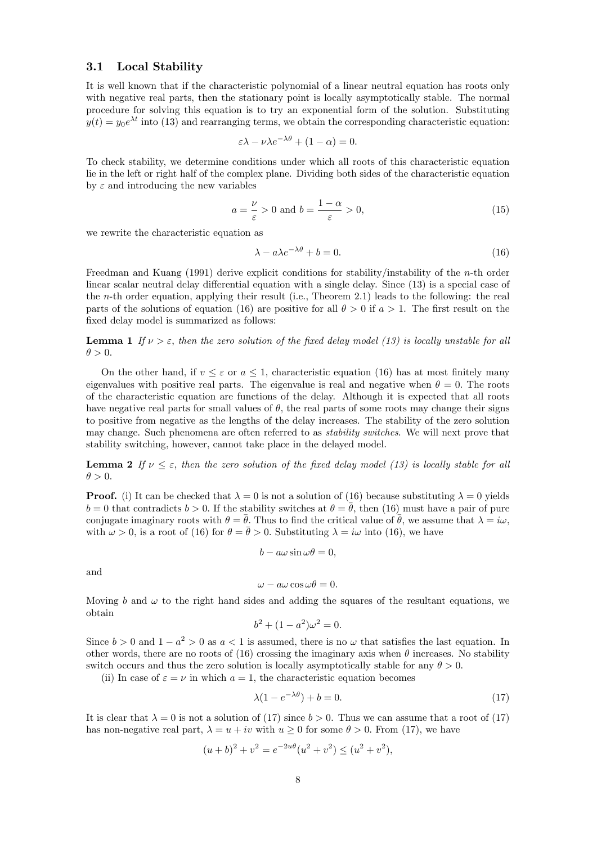### 3.1 Local Stability

It is well known that if the characteristic polynomial of a linear neutral equation has roots only with negative real parts, then the stationary point is locally asymptotically stable. The normal procedure for solving this equation is to try an exponential form of the solution. Substituting  $y(t) = y_0 e^{\lambda t}$  into (13) and rearranging terms, we obtain the corresponding characteristic equation:

$$
\varepsilon \lambda - \nu \lambda e^{-\lambda \theta} + (1 - \alpha) = 0.
$$

To check stability, we determine conditions under which all roots of this characteristic equation lie in the left or right half of the complex plane. Dividing both sides of the characteristic equation by  $\varepsilon$  and introducing the new variables

$$
a = \frac{\nu}{\varepsilon} > 0 \text{ and } b = \frac{1 - \alpha}{\varepsilon} > 0,
$$
\n(15)

we rewrite the characteristic equation as

$$
\lambda - a\lambda e^{-\lambda \theta} + b = 0. \tag{16}
$$

Freedman and Kuang (1991) derive explicit conditions for stability/instability of the n-th order linear scalar neutral delay differential equation with a single delay. Since  $(13)$  is a special case of the n-th order equation, applying their result (i.e., Theorem 2.1) leads to the following: the real parts of the solutions of equation (16) are positive for all  $\theta > 0$  if  $a > 1$ . The first result on the fixed delay model is summarized as follows:

**Lemma 1** If  $\nu > \varepsilon$ , then the zero solution of the fixed delay model (13) is locally unstable for all  $\theta > 0.$ 

On the other hand, if  $v \leq \varepsilon$  or  $a \leq 1$ , characteristic equation (16) has at most finitely many eigenvalues with positive real parts. The eigenvalue is real and negative when  $\theta = 0$ . The roots of the characteristic equation are functions of the delay. Although it is expected that all roots have negative real parts for small values of  $\theta$ , the real parts of some roots may change their signs to positive from negative as the lengths of the delay increases. The stability of the zero solution may change. Such phenomena are often referred to as *stability switches*. We will next prove that stability switching, however, cannot take place in the delayed model.

**Lemma 2** If  $\nu \leq \varepsilon$ , then the zero solution of the fixed delay model (13) is locally stable for all  $\theta > 0.$ 

**Proof.** (i) It can be checked that  $\lambda = 0$  is not a solution of (16) because substituting  $\lambda = 0$  yields  $b = 0$  that contradicts  $b > 0$ . If the stability switches at  $\theta = \theta$ , then (16) must have a pair of pure conjugate imaginary roots with  $\theta = \bar{\theta}$ . Thus to find the critical value of  $\bar{\theta}$ , we assume that  $\lambda = i\omega$ , with  $\omega > 0$ , is a root of (16) for  $\theta = \bar{\theta} > 0$ . Substituting  $\lambda = i\omega$  into (16), we have

$$
b - a\omega \sin \omega \theta = 0,
$$

and

$$
\omega - a\omega \cos \omega \theta = 0.
$$

Moving b and  $\omega$  to the right hand sides and adding the squares of the resultant equations, we obtain

$$
b^2 + (1 - a^2)\omega^2 = 0.
$$

Since  $b > 0$  and  $1 - a^2 > 0$  as  $a < 1$  is assumed, there is no  $\omega$  that satisfies the last equation. In other words, there are no roots of (16) crossing the imaginary axis when  $\theta$  increases. No stability switch occurs and thus the zero solution is locally asymptotically stable for any  $\theta > 0$ .

(ii) In case of  $\varepsilon = \nu$  in which  $a = 1$ , the characteristic equation becomes

$$
\lambda(1 - e^{-\lambda \theta}) + b = 0. \tag{17}
$$

It is clear that  $\lambda = 0$  is not a solution of (17) since  $b > 0$ . Thus we can assume that a root of (17) has non-negative real part,  $\lambda = u + iv$  with  $u \ge 0$  for some  $\theta > 0$ . From (17), we have

$$
(u+b)^2 + v^2 = e^{-2u\theta}(u^2 + v^2) \le (u^2 + v^2),
$$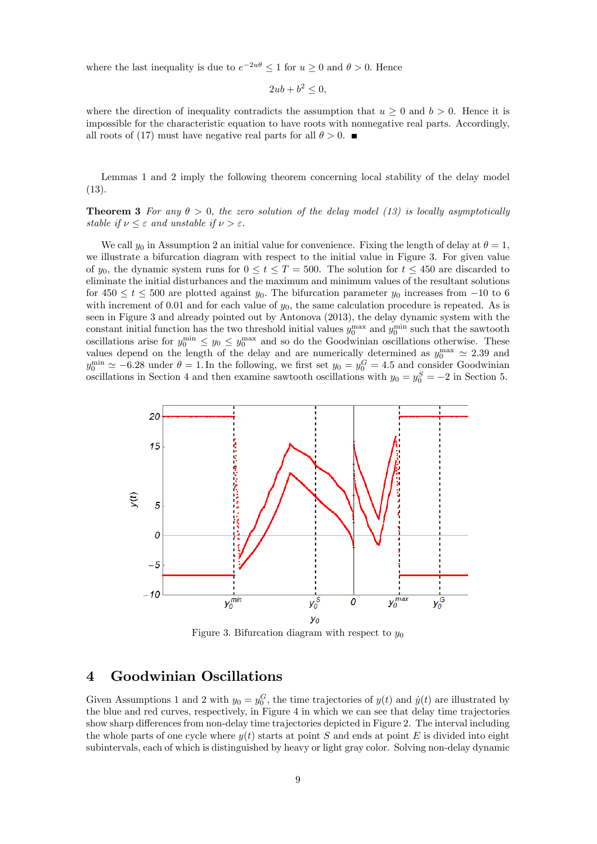where the last inequality is due to  $e^{-2u\theta} \leq 1$  for  $u \geq 0$  and  $\theta > 0$ . Hence

$$
2ub + b^2 \le 0,
$$

where the direction of inequality contradicts the assumption that  $u \geq 0$  and  $b > 0$ . Hence it is impossible for the characteristic equation to have roots with nonnegative real parts. Accordingly, all roots of (17) must have negative real parts for all  $\theta > 0$ .

Lemmas 1 and 2 imply the following theorem concerning local stability of the delay model (13).

**Theorem 3** For any  $\theta > 0$ , the zero solution of the delay model (13) is locally asymptotically stable if  $\nu \leq \varepsilon$  and unstable if  $\nu > \varepsilon$ .

We call  $y_0$  in Assumption 2 an initial value for convenience. Fixing the length of delay at  $\theta = 1$ , we illustrate a bifurcation diagram with respect to the initial value in Figure 3. For given value of  $y_0$ , the dynamic system runs for  $0 \le t \le T = 500$ . The solution for  $t \le 450$  are discarded to eliminate the initial disturbances and the maximum and minimum values of the resultant solutions for  $450 \le t \le 500$  are plotted against  $y_0$ . The bifurcation parameter  $y_0$  increases from  $-10$  to 6 with increment of 0.01 and for each value of  $y_0$ , the same calculation procedure is repeated. As is seen in Figure 3 and already pointed out by Antonova (2013), the delay dynamic system with the constant initial function has the two threshold initial values  $y_0^{\text{max}}$  and  $y_0^{\text{min}}$  such that the sawtooth oscillations arise for  $y_0^{\text{min}} \leq y_0 \leq y_0^{\text{max}}$  and so do the Goodwinian oscillations otherwise. These values depend on the length of the delay and are numerically determined as  $y_0^{\text{max}} \approx 2.39$  and  $y_0^{\text{min}} \simeq -6.28$  under  $\theta = 1$ . In the following, we first set  $y_0 = y_0^G = 4.5$  and consider Goodwinian oscillations in Section 4 and then examine sawtooth oscillations with  $y_0 = y_0^S = -2$  in Section 5.



Figure 3. Bifurcation diagram with respect to  $y_0$ 

# 4 Goodwinian Oscillations

Given Assumptions 1 and 2 with  $y_0 = y_0^G$ , the time trajectories of  $y(t)$  and  $\dot{y}(t)$  are illustrated by the blue and red curves, respectively, in Figure 4 in which we can see that delay time trajectories show sharp differences from non-delay time trajectories depicted in Figure 2. The interval including the whole parts of one cycle where  $y(t)$  starts at point S and ends at point E is divided into eight subintervals, each of which is distinguished by heavy or light gray color. Solving non-delay dynamic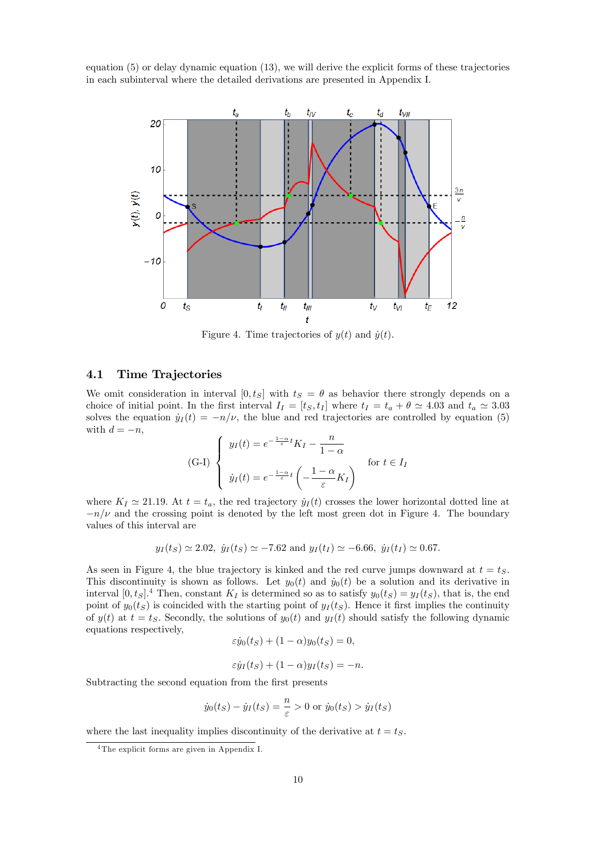equation (5) or delay dynamic equation (13), we will derive the explicit forms of these trajectories in each subinterval where the detailed derivations are presented in Appendix I.



Figure 4. Time trajectories of  $y(t)$  and  $\dot{y}(t)$ .

## 4.1 Time Trajectories

We omit consideration in interval  $[0, t_S]$  with  $t_S = \theta$  as behavior there strongly depends on a choice of initial point. In the first interval  $I_I = [t_S, t_I]$  where  $t_I = t_a + \theta \simeq 4.03$  and  $t_a \simeq 3.03$ solves the equation  $\dot{y}_I (t) = -n/\nu$ , the blue and red trajectories are controlled by equation (5) with  $d = -n$ ,

(G-I)
$$
\begin{cases}\n y_I(t) = e^{-\frac{1-\alpha}{\varepsilon}t} K_I - \frac{n}{1-\alpha} \\
 \dot{y}_I(t) = e^{-\frac{1-\alpha}{\varepsilon}t} \left(-\frac{1-\alpha}{\varepsilon} K_I\right) \n\end{cases} \text{ for } t \in I_I
$$

where  $K_I \simeq 21.19$ . At  $t = t_a$ , the red trajectory  $\dot{y}_I (t)$  crosses the lower horizontal dotted line at  $-n/\nu$  and the crossing point is denoted by the left most green dot in Figure 4. The boundary values of this interval are

$$
y_I(t_S) \simeq 2.02
$$
,  $\dot{y}_I(t_S) \simeq -7.62$  and  $y_I(t_I) \simeq -6.66$ ,  $\dot{y}_I(t_I) \simeq 0.67$ .

As seen in Figure 4, the blue trajectory is kinked and the red curve jumps downward at  $t = t<sub>S</sub>$ . This discontinuity is shown as follows. Let  $y_0(t)$  and  $\dot{y}_0(t)$  be a solution and its derivative in interval  $[0, t<sub>S</sub>]$ <sup>4</sup> Then, constant  $K<sub>I</sub>$  is determined so as to satisfy  $y<sub>0</sub>(t<sub>S</sub>) = y<sub>I</sub>(t<sub>S</sub>)$ , that is, the end point of  $y_0(t_S)$  is coincided with the starting point of  $y_1(t_S)$ . Hence it first implies the continuity of  $y(t)$  at  $t = t<sub>S</sub>$ . Secondly, the solutions of  $y<sub>0</sub>(t)$  and  $y<sub>I</sub>(t)$  should satisfy the following dynamic equations respectively,

$$
\varepsilon \dot{y}_0(t_S) + (1 - \alpha) y_0(t_S) = 0,
$$

$$
\varepsilon \dot{y}_I(t_S) + (1 - \alpha) y_I(t_S) = -n.
$$

Subtracting the second equation from the first presents

$$
\dot{y}_0(t_S) - \dot{y}_I(t_S) = \frac{n}{\varepsilon} > 0 \text{ or } \dot{y}_0(t_S) > \dot{y}_I(t_S)
$$

where the last inequality implies discontinuity of the derivative at  $t = t<sub>S</sub>$ .

<sup>4</sup> The explicit forms are given in Appendix I.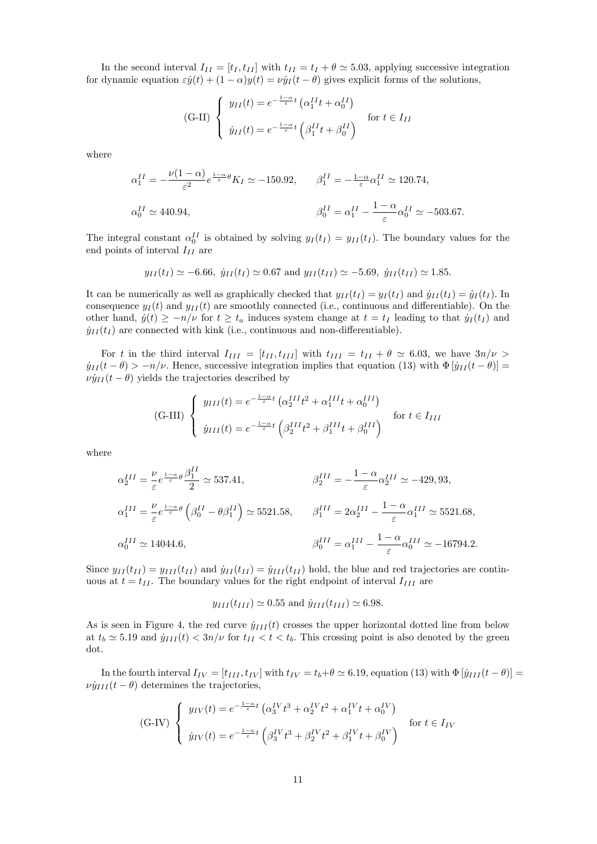In the second interval  $I_{II} = [t_I, t_{II}]$  with  $t_{II} = t_I + \theta \simeq 5.03$ , applying successive integration for dynamic equation  $\varepsilon \dot{y}(t) + (1 - \alpha)y(t) = \nu \dot{y}_I (t - \theta)$  gives explicit forms of the solutions,

(G-II) 
$$
\begin{cases} y_{II}(t) = e^{-\frac{1-\alpha}{\varepsilon}t} \left( \alpha_1^{II} t + \alpha_0^{II} \right) \\ y_{II}(t) = e^{-\frac{1-\alpha}{\varepsilon}t} \left( \beta_1^{II} t + \beta_0^{II} \right) \end{cases}
$$
 for  $t \in I_{II}$ 

where

$$
\alpha_1^{II} = -\frac{\nu(1-\alpha)}{\varepsilon^2} e^{\frac{1-\alpha}{\varepsilon}\theta} K_I \simeq -150.92, \qquad \beta_1^{II} = -\frac{1-\alpha}{\varepsilon} \alpha_1^{II} \simeq 120.74,
$$
  

$$
\alpha_0^{II} \simeq 440.94, \qquad \beta_0^{II} = \alpha_1^{II} - \frac{1-\alpha}{\varepsilon} \alpha_0^{II} \simeq -503.67.
$$

The integral constant  $\alpha_0^{II}$  is obtained by solving  $y_I(t_I) = y_{II}(t_I)$ . The boundary values for the end points of interval  $I_{II}$  are

$$
y_{II}(t_I) \simeq -6.66
$$
,  $\dot{y}_{II}(t_I) \simeq 0.67$  and  $y_{II}(t_{II}) \simeq -5.69$ ,  $\dot{y}_{II}(t_{II}) \simeq 1.85$ .

It can be numerically as well as graphically checked that  $y_{II}(t_I) = y_I(t_I)$  and  $\dot{y}_{II}(t_I) = \dot{y}_I(t_I)$ . In consequence  $y_I(t)$  and  $y_{II}(t)$  are smoothly connected (i.e., continuous and differentiable). On the other hand,  $\dot{y}(t) \ge -n/\nu$  for  $t \ge t_a$  induces system change at  $t = t_I$  leading to that  $\dot{y}_I (t_I)$  and  $\dot{y}_{II}(t_I)$  are connected with kink (i.e., continuous and non-differentiable).

For t in the third interval  $I_{III} = [t_{II}, t_{III}]$  with  $t_{III} = t_{II} + \theta \simeq 6.03$ , we have  $3n/\nu >$  $\dot{y}_{II}(t - \theta) > -n/\nu$ . Hence, successive integration implies that equation (13) with  $\Phi [ \dot{y}_{II}(t - \theta) ] =$  $\nu \dot{y}_{II} (t - \theta)$  yields the trajectories described by

(G-III) 
$$
\begin{cases} y_{III}(t) = e^{-\frac{1-\alpha}{\varepsilon}t} \left( \alpha_2^{III} t^2 + \alpha_1^{III} t + \alpha_0^{III} \right) & \text{for } t \in I_{III} \\ y_{III}(t) = e^{-\frac{1-\alpha}{\varepsilon}t} \left( \beta_2^{III} t^2 + \beta_1^{III} t + \beta_0^{III} \right) & \text{for } t \in I_{III} \end{cases}
$$

where

$$
\alpha_2^{III} = \frac{\nu}{\varepsilon} e^{\frac{1-\alpha}{\varepsilon}\theta} \frac{\beta_1^{II}}{2} \simeq 537.41, \qquad \beta_2^{III} = -\frac{1-\alpha}{\varepsilon} \alpha_2^{III} \simeq -429, 93,
$$
  

$$
\alpha_1^{III} = \frac{\nu}{\varepsilon} e^{\frac{1-\alpha}{\varepsilon}\theta} \left(\beta_0^{II} - \theta \beta_1^{II}\right) \simeq 5521.58, \qquad \beta_1^{III} = 2\alpha_2^{III} - \frac{1-\alpha}{\varepsilon} \alpha_1^{III} \simeq 5521.68,
$$
  

$$
\alpha_0^{III} \simeq 14044.6, \qquad \beta_0^{III} = \alpha_1^{III} - \frac{1-\alpha}{\varepsilon} \alpha_0^{III} \simeq -16794.2.
$$

Since  $y_{II}(t_{II}) = y_{III}(t_{II})$  and  $\dot{y}_{II}(t_{II}) = \dot{y}_{III}(t_{II})$  hold, the blue and red trajectories are continuous at  $t = t_{II}$ . The boundary values for the right endpoint of interval  $I_{III}$  are

$$
y_{III}(t_{III}) \simeq 0.55
$$
 and  $\dot{y}_{III}(t_{III}) \simeq 6.98$ .

As is seen in Figure 4, the red curve  $\dot{y}_{III}(t)$  crosses the upper horizontal dotted line from below at  $t_b \simeq 5.19$  and  $\dot{y}_{III}(t) < 3n/\nu$  for  $t_{II} < t < t_b$ . This crossing point is also denoted by the green dot.

In the fourth interval  $I_{IV} = [t_{III}, t_{IV}]$  with  $t_{IV} = t_b + \theta \simeq 6.19$ , equation (13) with  $\Phi[\dot{y}_{III}(t - \theta)] =$  $\nu \dot{y}_{III} (t - \theta)$  determines the trajectories,

$$
\text{(G-IV)}\n\begin{cases}\n\begin{aligned}\n\frac{y_{IV}(t)}{2} &= e^{-\frac{1-\alpha}{\varepsilon}t} \left( \alpha_3^{IV} t^3 + \alpha_2^{IV} t^2 + \alpha_1^{IV} t + \alpha_0^{IV} \right) \\
\frac{y_{IV}(t)}{2} &= e^{-\frac{1-\alpha}{\varepsilon}t} \left( \beta_3^{IV} t^3 + \beta_2^{IV} t^2 + \beta_1^{IV} t + \beta_0^{IV} \right) \\
\end{aligned}\n\end{cases}\n\text{for } t \in I_{IV}
$$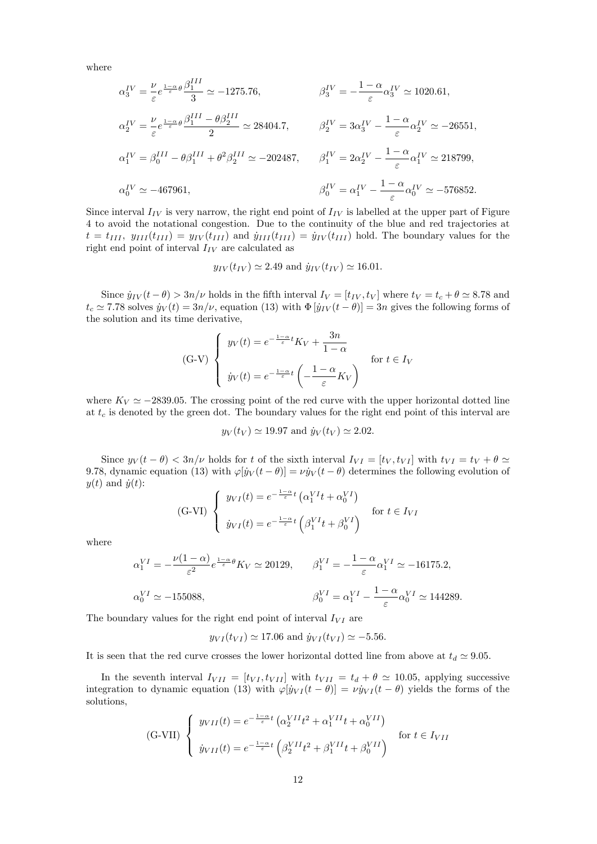where

$$
\alpha_3^{IV} = \frac{\nu}{\varepsilon} e^{\frac{1-\alpha}{\varepsilon}\theta} \frac{\beta_1^{III}}{3} \simeq -1275.76, \qquad \beta_3^{IV} = -\frac{1-\alpha}{\varepsilon} \alpha_3^{IV} \simeq 1020.61,
$$
  
\n
$$
\alpha_2^{IV} = \frac{\nu}{\varepsilon} e^{\frac{1-\alpha}{\varepsilon}\theta} \frac{\beta_1^{III} - \theta \beta_2^{III}}{2} \simeq 28404.7, \qquad \beta_2^{IV} = 3\alpha_3^{IV} - \frac{1-\alpha}{\varepsilon} \alpha_2^{IV} \simeq -26551,
$$
  
\n
$$
\alpha_1^{IV} = \beta_0^{III} - \theta \beta_1^{III} + \theta^2 \beta_2^{III} \simeq -202487, \qquad \beta_1^{IV} = 2\alpha_2^{IV} - \frac{1-\alpha}{\varepsilon} \alpha_1^{IV} \simeq 218799,
$$
  
\n
$$
\alpha_0^{IV} \simeq -467961, \qquad \beta_0^{IV} = \alpha_1^{IV} - \frac{1-\alpha}{\varepsilon} \alpha_0^{IV} \simeq -576852.
$$

Since interval  $I_{IV}$  is very narrow, the right end point of  $I_{IV}$  is labelled at the upper part of Figure 4 to avoid the notational congestion. Due to the continuity of the blue and red trajectories at  $t = t_{III}$ ,  $y_{III}(t_{III}) = y_{IV}(t_{III})$  and  $\dot{y}_{III}(t_{III}) = \dot{y}_{IV}(t_{III})$  hold. The boundary values for the right end point of interval  $I_{IV}$  are calculated as

$$
y_{IV}(t_{IV}) \simeq 2.49
$$
 and  $\dot{y}_{IV}(t_{IV}) \simeq 16.01$ .

Since  $\dot{y}_{IV} (t - \theta) > 3n/\nu$  holds in the fifth interval  $I_V = [t_{IV}, t_V]$  where  $t_V = t_c + \theta \simeq 8.78$  and  $t_c \approx 7.78$  solves  $\dot{y}_V (t) = 3n/\nu$ , equation (13) with  $\Phi [\dot{y}_{IV} (t - \theta)] = 3n$  gives the following forms of the solution and its time derivative,

$$
\text{(G-V)} \begin{cases} y_V(t) = e^{-\frac{1-\alpha}{\varepsilon}t} K_V + \frac{3n}{1-\alpha} \\ y_V(t) = e^{-\frac{1-\alpha}{\varepsilon}t} \left( -\frac{1-\alpha}{\varepsilon} K_V \right) \end{cases} \quad \text{for } t \in I_V
$$

where  $K_V \simeq -2839.05$ . The crossing point of the red curve with the upper horizontal dotted line at  $t_c$  is denoted by the green dot. The boundary values for the right end point of this interval are

$$
y_V(t_V) \simeq 19.97
$$
 and  $\dot{y}_V(t_V) \simeq 2.02$ .

Since  $y_V(t - \theta) < 3n/\nu$  holds for t of the sixth interval  $I_{VI} = [t_V, t_{VI}]$  with  $t_{VI} = t_V + \theta \simeq$ 9.78, dynamic equation (13) with  $\varphi[y_V (t - \theta)] = \nu \dot{y}_V (t - \theta)$  determines the following evolution of  $y(t)$  and  $\dot{y}(t)$ :

(G-VI) 
$$
\begin{cases} y_{VI}(t) = e^{-\frac{1-\alpha}{\varepsilon}t} \left( \alpha_1^{VI} t + \alpha_0^{VI} \right) & \text{for } t \in I_{VI} \\ y_{VI}(t) = e^{-\frac{1-\alpha}{\varepsilon}t} \left( \beta_1^{VI} t + \beta_0^{VI} \right) & \text{for } t \in I_{VI} \end{cases}
$$

where

$$
\alpha_1^{VI} = -\frac{\nu(1-\alpha)}{\varepsilon^2} e^{\frac{1-\alpha}{\varepsilon}\theta} K_V \simeq 20129, \qquad \beta_1^{VI} = -\frac{1-\alpha}{\varepsilon} \alpha_1^{VI} \simeq -16175.2,
$$
  

$$
\alpha_0^{VI} \simeq -155088, \qquad \beta_0^{VI} = \alpha_1^{VI} - \frac{1-\alpha}{\varepsilon} \alpha_0^{VI} \simeq 144289.
$$

The boundary values for the right end point of interval  $I_{VI}$  are

$$
y_{VI}(t_{VI}) \simeq 17.06
$$
 and  $\dot{y}_{VI}(t_{VI}) \simeq -5.56$ .

It is seen that the red curve crosses the lower horizontal dotted line from above at  $t_d \simeq 9.05$ .

In the seventh interval  $I_{VII} = [t_{VI}, t_{VII}]$  with  $t_{VII} = t_d + \theta \approx 10.05$ , applying successive integration to dynamic equation (13) with  $\varphi[y_{VI}(t - \theta)] = \nu \dot{y}_{VI} (t - \theta)$  yields the forms of the solutions,

$$
\text{(G-VII)} \begin{cases} y_{VII}(t) = e^{-\frac{1-\alpha}{\varepsilon}t} \left( \alpha_2^{VII} t^2 + \alpha_1^{VII} t + \alpha_0^{VII} \right) & \text{for } t \in I_{VII} \\ y_{VII}(t) = e^{-\frac{1-\alpha}{\varepsilon}t} \left( \beta_2^{VII} t^2 + \beta_1^{VII} t + \beta_0^{VII} \right) & \text{for } t \in I_{VII} \end{cases}
$$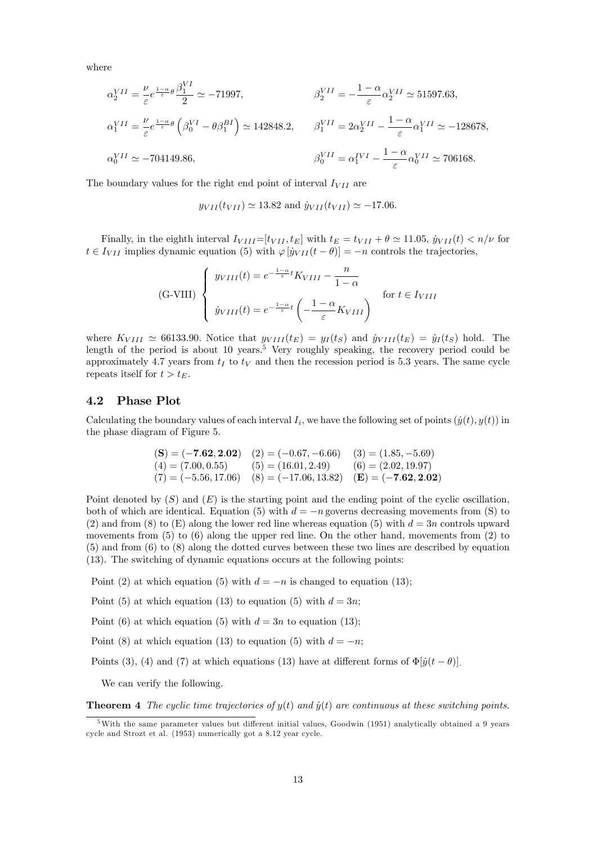where

$$
\alpha_2^{VII} = \frac{\nu}{\varepsilon} e^{\frac{1-\alpha}{\varepsilon}\theta} \frac{\beta_1^{VI}}{2} \simeq -71997,
$$
  
\n
$$
\beta_2^{VII} = -\frac{1-\alpha}{\varepsilon} \alpha_2^{VII} \simeq 51597.63,
$$
  
\n
$$
\alpha_1^{VII} = \frac{\nu}{\varepsilon} e^{\frac{1-\alpha}{\varepsilon}\theta} \left( \beta_0^{VI} - \theta \beta_1^{BI} \right) \simeq 142848.2,
$$
  
\n
$$
\beta_1^{VII} = 2\alpha_2^{VII} - \frac{1-\alpha}{\varepsilon} \alpha_1^{VII} \simeq -128678,
$$
  
\n
$$
\beta_0^{VII} = \alpha_1^{IVI} - \frac{1-\alpha}{\varepsilon} \alpha_0^{VII} \simeq 706168.
$$

The boundary values for the right end point of interval  $I_{VII}$  are

$$
y_{VII}(t_{VII}) \simeq 13.82
$$
 and  $\dot{y}_{VII}(t_{VII}) \simeq -17.06$ .

Finally, in the eighth interval  $I_{VIII}=[t_{VII}, t_E]$  with  $t_E = t_{VII} + \theta \simeq 11.05$ ,  $\dot{y}_{VII}(t) < n/\nu$  for  $t \in I_{VII}$  implies dynamic equation (5) with  $\varphi[\dot{y}_{VII}(t - \theta)] = -n$  controls the trajectories,

(G-VIII) 
$$
\begin{cases} y_{VIII}(t) = e^{-\frac{1-\alpha}{\varepsilon}t} K_{VIII} - \frac{n}{1-\alpha} \\ y_{VIII}(t) = e^{-\frac{1-\alpha}{\varepsilon}t} \left(-\frac{1-\alpha}{\varepsilon} K_{VIII}\right) \end{cases}
$$
 for  $t \in I_{VIII}$ 

where  $K_{VIII} \simeq 66133.90$ . Notice that  $y_{VIII}(t_E) = y_I(t_S)$  and  $\dot{y}_{VIII}(t_E) = \dot{y}_I(t_S)$  hold. The length of the period is about 10 years.<sup>5</sup> Very roughly speaking, the recovery period could be approximately 4.7 years from  $t_I$  to  $t_V$  and then the recession period is 5.3 years. The same cycle repeats itself for  $t > t_E$ .

### 4.2 Phase Plot

Calculating the boundary values of each interval  $I_i$ , we have the following set of points  $(\dot{y}(t), y(t))$  in the phase diagram of Figure 5.

$$
\begin{array}{ll}\n\text{(S)} = (-7.62, 2.02) & (2) = (-0.67, -6.66) & (3) = (1.85, -5.69) \\
\text{(4)} = (7.00, 0.55) & (5) = (16.01, 2.49) & (6) = (2.02, 19.97) \\
\text{(7)} = (-5.56, 17.06) & (8) = (-17.06, 13.82) & (\mathbf{E}) = (-7.62, 2.02)\n\end{array}
$$

Point denoted by  $(S)$  and  $(E)$  is the starting point and the ending point of the cyclic oscillation, both of which are identical. Equation (5) with  $d = -n$  governs decreasing movements from (S) to (2) and from (8) to (E) along the lower red line whereas equation (5) with  $d = 3n$  controls upward movements from (5) to (6) along the upper red line. On the other hand, movements from (2) to (5) and from (6) to (8) along the dotted curves between these two lines are described by equation (13). The switching of dynamic equations occurs at the following points:

Point (2) at which equation (5) with  $d = -n$  is changed to equation (13);

Point (5) at which equation (13) to equation (5) with  $d = 3n$ ;

Point (6) at which equation (5) with  $d = 3n$  to equation (13);

Point (8) at which equation (13) to equation (5) with  $d = -n$ ;

Points (3), (4) and (7) at which equations (13) have at different forms of  $\Phi[\dot{y}(t - \theta)]$ .

We can verify the following.

**Theorem 4** The cyclic time trajectories of  $y(t)$  and  $\dot{y}(t)$  are continuous at these switching points.

 $5$ With the same parameter values but different initial values, Goodwin (1951) analytically obtained a 9 years cycle and Strozt et al. (1953) numerically got a 8.12 year cycle.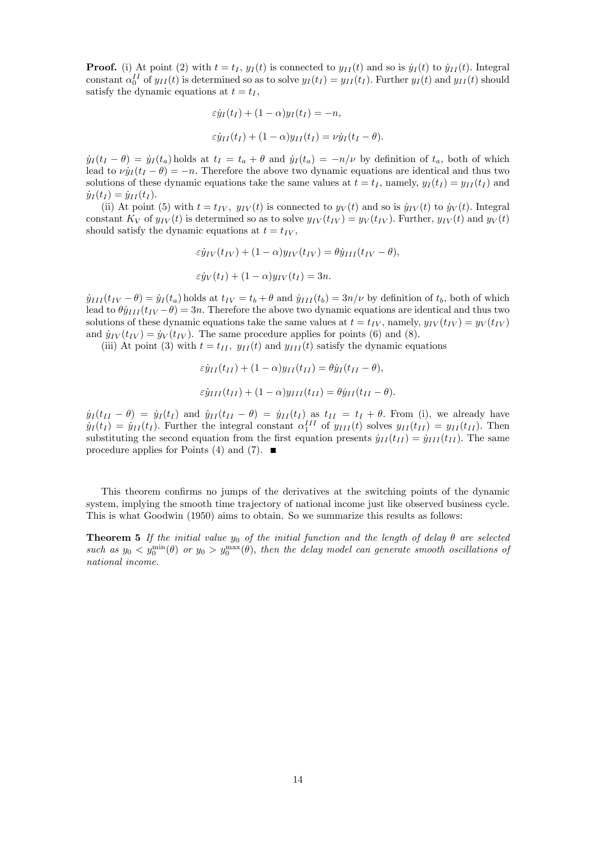**Proof.** (i) At point (2) with  $t = t_I$ ,  $y_I(t)$  is connected to  $y_{II}(t)$  and so is  $\dot{y}_I(t)$  to  $\dot{y}_{II}(t)$ . Integral constant  $\alpha_0^{II}$  of  $y_{II}(t)$  is determined so as to solve  $y_I(t_I) = y_{II}(t_I)$ . Further  $y_I(t)$  and  $y_{II}(t)$  should satisfy the dynamic equations at  $t = t_I$ ,

$$
\varepsilon \dot{y}_I(t_I) + (1 - \alpha) y_I(t_I) = -n,
$$
  

$$
\varepsilon \dot{y}_{II}(t_I) + (1 - \alpha) y_{II}(t_I) = \nu \dot{y}_I(t_I - \theta).
$$

 $\dot{y}_I (t_I - \theta) = \dot{y}_I (t_a)$  holds at  $t_I = t_a + \theta$  and  $\dot{y}_I (t_a) = -n/\nu$  by definition of  $t_a$ , both of which lead to  $\nu y_I (t_I - \theta) = -n$ . Therefore the above two dynamic equations are identical and thus two solutions of these dynamic equations take the same values at  $t = t_I$ , namely,  $y_I(t_I) = y_{II}(t_I)$  and  $\dot{y}_I (t_I) = \dot{y}_{II} (t_I).$ 

(ii) At point (5) with  $t = t_{IV}$ ,  $y_{IV}(t)$  is connected to  $y_V(t)$  and so is  $\dot{y}_{IV}(t)$  to  $\dot{y}_V(t)$ . Integral constant  $K_V$  of  $y_{IV}(t)$  is determined so as to solve  $y_{IV}(t_{IV}) = y_V(t_{IV})$ . Further,  $y_{IV}(t)$  and  $y_V(t)$ should satisfy the dynamic equations at  $t = t_{IV}$ ,

$$
\varepsilon \dot{y}_{IV}(t_{IV}) + (1 - \alpha) y_{IV}(t_{IV}) = \theta \dot{y}_{III}(t_{IV} - \theta),
$$
  

$$
\varepsilon \dot{y}_{V}(t_{I}) + (1 - \alpha) y_{IV}(t_{I}) = 3n.
$$

 $\dot{y}_{III}(t_{IV} - \theta) = \dot{y}_I(t_a)$  holds at  $t_{IV} = t_b + \theta$  and  $\dot{y}_{III}(t_b) = 3n/\nu$  by definition of  $t_b$ , both of which lead to  $\theta \dot{y}_{III} (t_{IV} - \theta) = 3n$ . Therefore the above two dynamic equations are identical and thus two solutions of these dynamic equations take the same values at  $t = t_{IV}$ , namely,  $y_{IV}(t_{IV}) = y_{V}(t_{IV})$ and  $\dot{y}_{IV} (t_{IV}) = \dot{y}_{V} (t_{IV})$ . The same procedure applies for points (6) and (8).

(iii) At point (3) with  $t = t_{II}$ ,  $y_{II}(t)$  and  $y_{III}(t)$  satisfy the dynamic equations

$$
\varepsilon \dot{y}_{II}(t_{II}) + (1 - \alpha) y_{II}(t_{II}) = \theta \dot{y}_{I}(t_{II} - \theta),
$$
  

$$
\varepsilon \dot{y}_{III}(t_{II}) + (1 - \alpha) y_{III}(t_{II}) = \theta \dot{y}_{II}(t_{II} - \theta).
$$

 $\dot{y}_I (t_{II} - \theta) = \dot{y}_I (t_I)$  and  $\dot{y}_{II} (t_{II} - \theta) = \dot{y}_{II} (t_I)$  as  $t_{II} = t_I + \theta$ . From (i), we already have  $\dot{y}_I(t_I) = \dot{y}_{II}(t_I)$ . Further the integral constant  $\alpha_1^{III}$  of  $y_{III}(t)$  solves  $y_{II}(t_{II}) = y_{II}(t_{II})$ . Then substituting the second equation from the first equation presents  $\dot{y}_{II}(t_{II}) = \dot{y}_{III}(t_{II})$ . The same procedure applies for Points (4) and (7).  $\blacksquare$ 

This theorem confirms no jumps of the derivatives at the switching points of the dynamic system, implying the smooth time trajectory of national income just like observed business cycle. This is what Goodwin (1950) aims to obtain. So we summarize this results as follows:

**Theorem 5** If the initial value  $y_0$  of the initial function and the length of delay  $\theta$  are selected such as  $y_0 < y_0^{\min}(\theta)$  or  $y_0 > y_0^{\max}(\theta)$ , then the delay model can generate smooth oscillations of national income.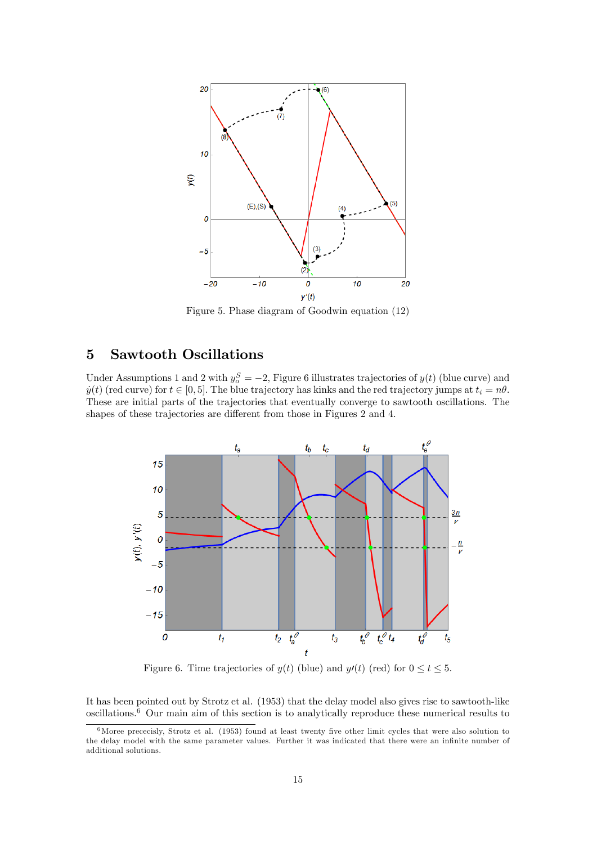

Figure 5. Phase diagram of Goodwin equation (12)

# 5 Sawtooth Oscillations

Under Assumptions 1 and 2 with  $y_o^S = -2$ , Figure 6 illustrates trajectories of  $y(t)$  (blue curve) and  $y(t)$  (red curve) for  $t \in [0, 5]$ . The blue trajectory has kinks and the red trajectory jumps at  $t_i = n\theta$ . These are initial parts of the trajectories that eventually converge to sawtooth oscillations. The shapes of these trajectories are different from those in Figures 2 and 4.



Figure 6. Time trajectories of  $y(t)$  (blue) and  $y'(t)$  (red) for  $0 \le t \le 5$ .

It has been pointed out by Strotz et al. (1953) that the delay model also gives rise to sawtooth-like oscillations.<sup>6</sup> Our main aim of this section is to analytically reproduce these numerical results to

 $6$ Moree prececisly, Strotz et al. (1953) found at least twenty five other limit cycles that were also solution to the delay model with the same parameter values. Further it was indicated that there were an infinite number of additional solutions.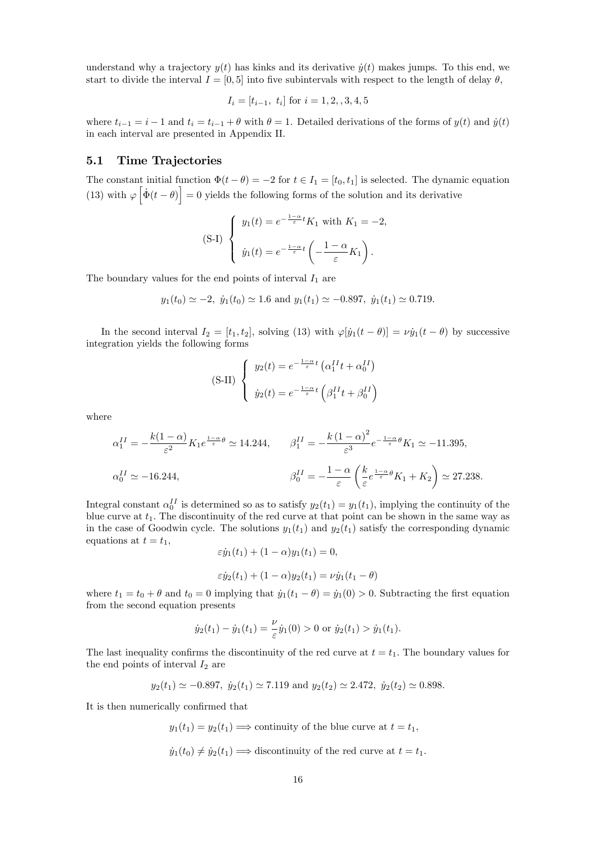understand why a trajectory  $y(t)$  has kinks and its derivative  $\dot{y}(t)$  makes jumps. To this end, we start to divide the interval  $I = [0, 5]$  into five subintervals with respect to the length of delay  $\theta$ ,

$$
I_i = [t_{i-1}, t_i] \text{ for } i = 1, 2, 3, 4, 5
$$

where  $t_{i-1} = i-1$  and  $t_i = t_{i-1} + \theta$  with  $\theta = 1$ . Detailed derivations of the forms of  $y(t)$  and  $\dot{y}(t)$ in each interval are presented in Appendix II.

## 5.1 Time Trajectories

The constant initial function  $\Phi(t - \theta) = -2$  for  $t \in I_1 = [t_0, t_1]$  is selected. The dynamic equation (13) with  $\varphi \left[ \dot{\Phi}(t - \theta) \right] = 0$  yields the following forms of the solution and its derivative

$$
\text{(S-I)} \begin{cases} y_1(t) = e^{-\frac{1-\alpha}{\varepsilon}t} K_1 \text{ with } K_1 = -2, \\ \dot{y}_1(t) = e^{-\frac{1-\alpha}{\varepsilon}t} \left( -\frac{1-\alpha}{\varepsilon} K_1 \right). \end{cases}
$$

The boundary values for the end points of interval  $I_1$  are

$$
y_1(t_0) \simeq -2
$$
,  $\dot{y}_1(t_0) \simeq 1.6$  and  $y_1(t_1) \simeq -0.897$ ,  $\dot{y}_1(t_1) \simeq 0.719$ .

In the second interval  $I_2 = [t_1, t_2]$ , solving (13) with  $\varphi[\dot{y}_1(t - \theta)] = \nu \dot{y}_1(t - \theta)$  by successive integration yields the following forms

(S-II) 
$$
\begin{cases} y_2(t) = e^{-\frac{1-\alpha}{\varepsilon}t} \left( \alpha_1^{II} t + \alpha_0^{II} \right) \\ y_2(t) = e^{-\frac{1-\alpha}{\varepsilon}t} \left( \beta_1^{II} t + \beta_0^{II} \right) \end{cases}
$$

where

$$
\alpha_1^{II} = -\frac{k(1-\alpha)}{\varepsilon^2} K_1 e^{\frac{1-\alpha}{\varepsilon}\theta} \simeq 14.244, \qquad \beta_1^{II} = -\frac{k(1-\alpha)^2}{\varepsilon^3} e^{-\frac{1-\alpha}{\varepsilon}\theta} K_1 \simeq -11.395,
$$
  

$$
\alpha_0^{II} \simeq -16.244, \qquad \beta_0^{II} = -\frac{1-\alpha}{\varepsilon} \left( \frac{k}{\varepsilon} e^{\frac{1-\alpha}{\varepsilon}\theta} K_1 + K_2 \right) \simeq 27.238.
$$

Integral constant  $\alpha_0^{II}$  is determined so as to satisfy  $y_2(t_1) = y_1(t_1)$ , implying the continuity of the blue curve at  $t_1$ . The discontinuity of the red curve at that point can be shown in the same way as in the case of Goodwin cycle. The solutions  $y_1(t_1)$  and  $y_2(t_1)$  satisfy the corresponding dynamic equations at  $t = t_1$ ,

$$
\varepsilon \dot{y}_1(t_1) + (1 - \alpha) y_1(t_1) = 0,
$$

$$
\varepsilon \dot{y}_2(t_1) + (1 - \alpha)y_2(t_1) = \nu \dot{y}_1(t_1 - \theta)
$$

where  $t_1 = t_0 + \theta$  and  $t_0 = 0$  implying that  $\dot{y}_1(t_1 - \theta) = \dot{y}_1(0) > 0$ . Subtracting the first equation from the second equation presents

$$
\dot{y}_2(t_1) - \dot{y}_1(t_1) = \frac{\nu}{\varepsilon} \dot{y}_1(0) > 0
$$
 or  $\dot{y}_2(t_1) > \dot{y}_1(t_1)$ .

The last inequality confirms the discontinuity of the red curve at  $t = t<sub>1</sub>$ . The boundary values for the end points of interval  $I_2$  are

$$
y_2(t_1) \simeq -0.897
$$
,  $\dot{y}_2(t_1) \simeq 7.119$  and  $y_2(t_2) \simeq 2.472$ ,  $\dot{y}_2(t_2) \simeq 0.898$ .

It is then numerically confirmed that

 $y_1(t_1) = y_2(t_1) \Longrightarrow$  continuity of the blue curve at  $t = t_1$ ,

 $\dot{y}_1(t_0) \neq \dot{y}_2(t_1) \Longrightarrow$  discontinuity of the red curve at  $t = t_1$ .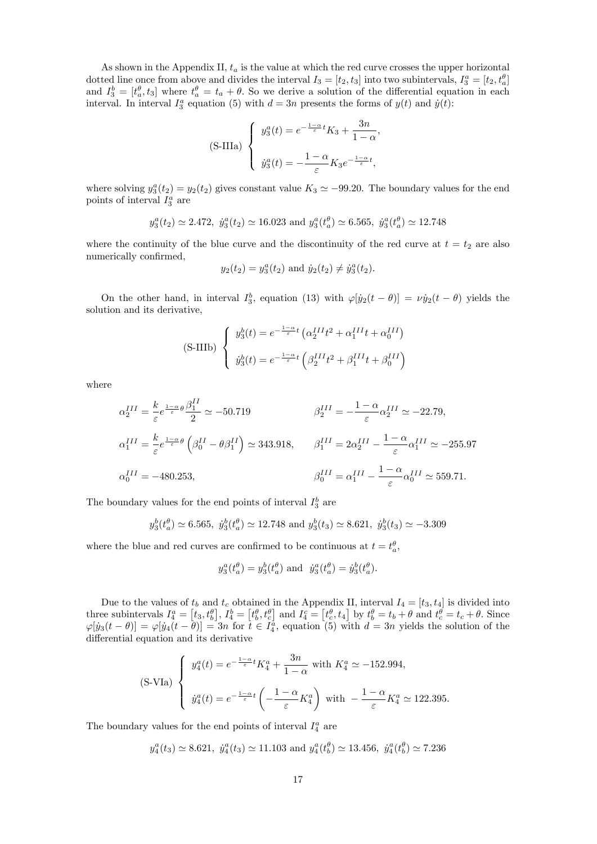As shown in the Appendix II,  $t_a$  is the value at which the red curve crosses the upper horizontal dotted line once from above and divides the interval  $I_3 = [t_2, t_3]$  into two subintervals,  $I_3^a = [t_2, t_a^a]$ and  $I_3^b = [t_a^{\theta}, t_3]$  where  $t_a^{\theta} = t_a + \theta$ . So we derive a solution of the differential equation in each interval. In interval  $I_3^a$  equation (5) with  $d = 3n$  presents the forms of  $y(t)$  and  $\dot{y}(t)$ :

$$
\text{(S-IIIa)} \begin{cases} y_3^a(t) = e^{-\frac{1-\alpha}{\varepsilon}t} K_3 + \frac{3n}{1-\alpha}, \\ y_3^a(t) = -\frac{1-\alpha}{\varepsilon} K_3 e^{-\frac{1-\alpha}{\varepsilon}t}, \end{cases}
$$

where solving  $y_3^a(t_2) = y_2(t_2)$  gives constant value  $K_3 \simeq -99.20$ . The boundary values for the end points of interval  $I_3^a$  are

$$
y_3^a(t_2) \simeq 2.472
$$
,  $\dot{y}_3^a(t_2) \simeq 16.023$  and  $y_3^a(t_a^{\theta}) \simeq 6.565$ ,  $\dot{y}_3^a(t_a^{\theta}) \simeq 12.748$ 

where the continuity of the blue curve and the discontinuity of the red curve at  $t = t_2$  are also numerically confirmed,

$$
y_2(t_2) = y_3^a(t_2)
$$
 and  $\dot{y}_2(t_2) \neq \dot{y}_3^a(t_2)$ .

On the other hand, in interval  $I_3^b$ , equation (13) with  $\varphi[j_2(t - \theta)] = \nu j_2(t - \theta)$  yields the solution and its derivative,

$$
\text{(S-IIIb)} \begin{cases} y_3^b(t) = e^{-\frac{1-\alpha}{\varepsilon}t} \left( \alpha_2^{III} t^2 + \alpha_1^{III} t + \alpha_0^{III} \right) \\ y_3^b(t) = e^{-\frac{1-\alpha}{\varepsilon}t} \left( \beta_2^{III} t^2 + \beta_1^{III} t + \beta_0^{III} \right) \end{cases}
$$

where

$$
\alpha_2^{III} = \frac{k}{\varepsilon} e^{\frac{1-\alpha}{\varepsilon}\theta} \frac{\beta_1^{II}}{2} \simeq -50.719
$$
\n
$$
\beta_2^{III} = -\frac{1-\alpha}{\varepsilon} \alpha_2^{III} \simeq -22.79,
$$
\n
$$
\alpha_1^{III} = \frac{k}{\varepsilon} e^{\frac{1-\alpha}{\varepsilon}\theta} \left( \beta_0^{II} - \theta \beta_1^{II} \right) \simeq 343.918,
$$
\n
$$
\beta_1^{III} = 2\alpha_2^{III} - \frac{1-\alpha}{\varepsilon} \alpha_1^{III} \simeq -255.97
$$
\n
$$
\alpha_0^{III} = -480.253,
$$
\n
$$
\beta_0^{III} = \alpha_1^{III} - \frac{1-\alpha}{\varepsilon} \alpha_0^{III} \simeq 559.71.
$$

The boundary values for the end points of interval  $I_3^b$  are

$$
y_3^b(t_a^{\theta}) \simeq 6.565
$$
,  $\dot{y}_3^b(t_a^{\theta}) \simeq 12.748$  and  $y_3^b(t_3) \simeq 8.621$ ,  $\dot{y}_3^b(t_3) \simeq -3.309$ 

where the blue and red curves are confirmed to be continuous at  $t = t_a^{\theta}$ ,

$$
y_3^a(t_a^{\theta}) = y_3^b(t_a^{\theta})
$$
 and  $\dot{y}_3^a(t_a^{\theta}) = \dot{y}_3^b(t_a^{\theta})$ .

Due to the values of  $t_b$  and  $t_c$  obtained in the Appendix II, interval  $I_4 = [t_3, t_4]$  is divided into three subintervals  $I_4^a = [t_3, t_5^{\theta}], I_4^b = [t_5^{\theta}, t_6^{\theta}]$  and  $I_4^c = [t_5^{\theta}, t_4]$  by  $t_5^{\theta} = t_5 + \theta$  and  $t_c^{\theta} = t_c + \theta$ . Since  $[\varphi[y_3(t-\theta)] = \varphi[y_4(t-\theta)] = 3n$  for  $t \in I_4^a$ , equation (5) with  $d = 3n$  yields the solution of the differential equation and its derivative

$$
\text{(S-VIa)} \begin{cases} y_4^a(t) = e^{-\frac{1-\alpha}{\varepsilon}t} K_4^a + \frac{3n}{1-\alpha} \text{ with } K_4^a \simeq -152.994, \\ y_4^a(t) = e^{-\frac{1-\alpha}{\varepsilon}t} \left( -\frac{1-\alpha}{\varepsilon} K_4^a \right) \text{ with } -\frac{1-\alpha}{\varepsilon} K_4^a \simeq 122.395. \end{cases}
$$

The boundary values for the end points of interval  $I_4^a$  are

$$
y_4^a(t_3) \approx 8.621
$$
,  $\dot{y}_4^a(t_3) \approx 11.103$  and  $y_4^a(t_b^{\theta}) \approx 13.456$ ,  $\dot{y}_4^a(t_b^{\theta}) \approx 7.236$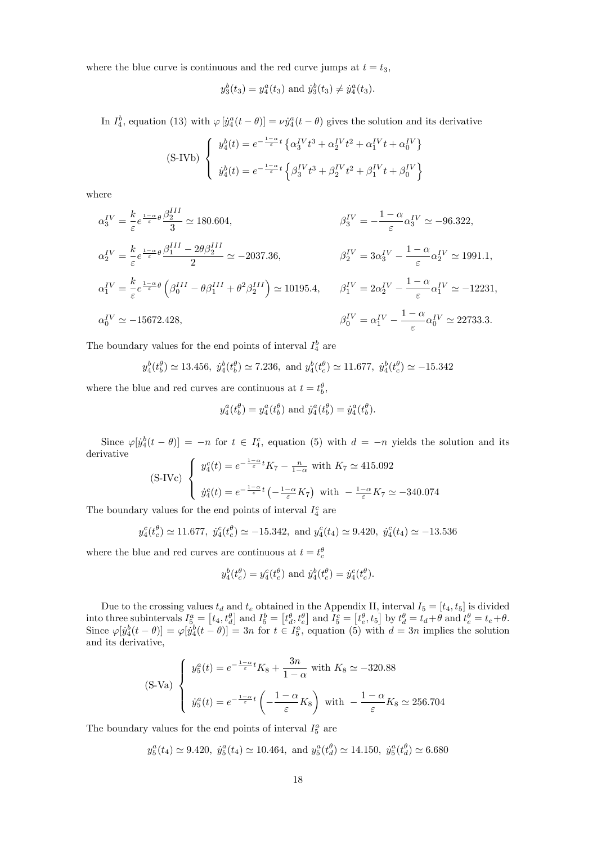where the blue curve is continuous and the red curve jumps at  $t = t_3$ ,

$$
y_3^b(t_3) = y_4^a(t_3)
$$
 and  $\dot{y}_3^b(t_3) \neq \dot{y}_4^a(t_3)$ .

In  $I_4^b$ , equation (13) with  $\varphi$   $[\dot{y}_4^a(t-\theta)] = \nu \dot{y}_4^a(t-\theta)$  gives the solution and its derivative

$$
\text{(S-IVb)} \begin{cases} y_4^b(t) = e^{-\frac{1-\alpha}{\varepsilon}t} \left\{ \alpha_3^{\{V\}}t^3 + \alpha_2^{\{V\}}t^2 + \alpha_1^{\{V\}}t + \alpha_0^{\{V\}} \right\} \\ y_4^b(t) = e^{-\frac{1-\alpha}{\varepsilon}t} \left\{ \beta_3^{\{V\}}t^3 + \beta_2^{\{V\}}t^2 + \beta_1^{\{V\}}t + \beta_0^{\{V\}} \right\} \end{cases}
$$

where

$$
\alpha_3^{IV} = \frac{k}{\varepsilon} e^{\frac{1-\alpha}{\varepsilon} \theta} \frac{\beta_2^{III}}{3} \approx 180.604,
$$
\n
$$
\beta_3^{IV} = -\frac{1-\alpha}{\varepsilon} \alpha_3^{IV} \approx -96.322,
$$
\n
$$
\alpha_2^{IV} = \frac{k}{\varepsilon} e^{\frac{1-\alpha}{\varepsilon} \theta} \frac{\beta_1^{III} - 2\theta \beta_2^{III}}{2} \approx -2037.36,
$$
\n
$$
\beta_2^{IV} = 3\alpha_3^{IV} - \frac{1-\alpha}{\varepsilon} \alpha_2^{IV} \approx 1991.1,
$$
\n
$$
\alpha_1^{IV} = \frac{k}{\varepsilon} e^{\frac{1-\alpha}{\varepsilon} \theta} \left( \beta_0^{III} - \theta \beta_1^{III} + \theta^2 \beta_2^{III} \right) \approx 10195.4,
$$
\n
$$
\beta_1^{IV} = 2\alpha_2^{IV} - \frac{1-\alpha}{\varepsilon} \alpha_1^{IV} \approx -12231,
$$
\n
$$
\alpha_0^{IV} \approx -15672.428,
$$
\n
$$
\beta_0^{IV} = \alpha_1^{IV} - \frac{1-\alpha}{\varepsilon} \alpha_0^{IV} \approx 22733.3.
$$

The boundary values for the end points of interval  $I_4^b$  are

$$
y_4^b(t_b^{\theta}) \simeq 13.456
$$
,  $y_4^b(t_b^{\theta}) \simeq 7.236$ , and  $y_4^b(t_c^{\theta}) \simeq 11.677$ ,  $y_4^b(t_c^{\theta}) \simeq -15.342$ 

where the blue and red curves are continuous at  $t = t_b^{\theta}$ ,

$$
y_4^a(t_b^{\theta}) = y_4^a(t_b^{\theta})
$$
 and  $\dot{y}_4^a(t_b^{\theta}) = \dot{y}_4^a(t_b^{\theta})$ .

Since  $\varphi[\dot{y}_4^b(t-\theta)] = -n$  for  $t \in I_4^c$ , equation (5) with  $d = -n$  yields the solution and its derivative

$$
\text{(S-IVc)} \begin{cases} y_4^c(t) = e^{-\frac{1-\alpha}{\varepsilon}t} K_7 - \frac{n}{1-\alpha} \text{ with } K_7 \simeq 415.092\\ y_4^c(t) = e^{-\frac{1-\alpha}{\varepsilon}t} \left(-\frac{1-\alpha}{\varepsilon} K_7\right) \text{ with } -\frac{1-\alpha}{\varepsilon} K_7 \simeq -340.074 \end{cases}
$$

The boundary values for the end points of interval  $I_4^c$  are

$$
y_4^c(t_c^{\theta}) \simeq 11.677
$$
,  $y_4^c(t_c^{\theta}) \simeq -15.342$ , and  $y_4^c(t_4) \simeq 9.420$ ,  $y_4^c(t_4) \simeq -13.536$ 

where the blue and red curves are continuous at  $t = t_c^{\theta}$ 

$$
y_4^b(t_c^{\theta}) = y_4^c(t_c^{\theta})
$$
 and  $\dot{y}_4^b(t_c^{\theta}) = \dot{y}_4^c(t_c^{\theta})$ .

Due to the crossing values  $t_d$  and  $t_e$  obtained in the Appendix II, interval  $I_5 = [t_4, t_5]$  is divided into three subintervals  $I_5^a = [t_4, t_4^{\theta}]$  and  $I_5^b = [t_4^{\theta}, t_4^{\theta}]$  and  $I_5^c = [t_4^{\theta}, t_5^{\theta}]$  by  $t_4^{\theta} = t_d + \theta$  and  $t_e^{\theta} = t_e + \theta$ . Since  $\varphi[\dot{y}_4^b(t-\theta)] = \varphi[\dot{y}_4^b(t-\theta)] = 3n$  for  $t \in I_5^a$ , equation (5) with  $d=3n$  implies the solution and its derivative,

$$
\text{(S-Va)} \begin{cases} y_5^a(t) = e^{-\frac{1-\alpha}{\varepsilon}t} K_8 + \frac{3n}{1-\alpha} \text{ with } K_8 \simeq -320.88\\ y_5^a(t) = e^{-\frac{1-\alpha}{\varepsilon}t} \left(-\frac{1-\alpha}{\varepsilon} K_8\right) \text{ with } -\frac{1-\alpha}{\varepsilon} K_8 \simeq 256.704 \end{cases}
$$

The boundary values for the end points of interval  $I_5^a$  are

 $y_5^a(t_4) \approx 9.420$ ,  $\dot{y}_5^a(t_4) \approx 10.464$ , and  $y_5^a(t_4^{\theta}) \approx 14.150$ ,  $\dot{y}_5^a(t_4^{\theta}) \approx 6.680$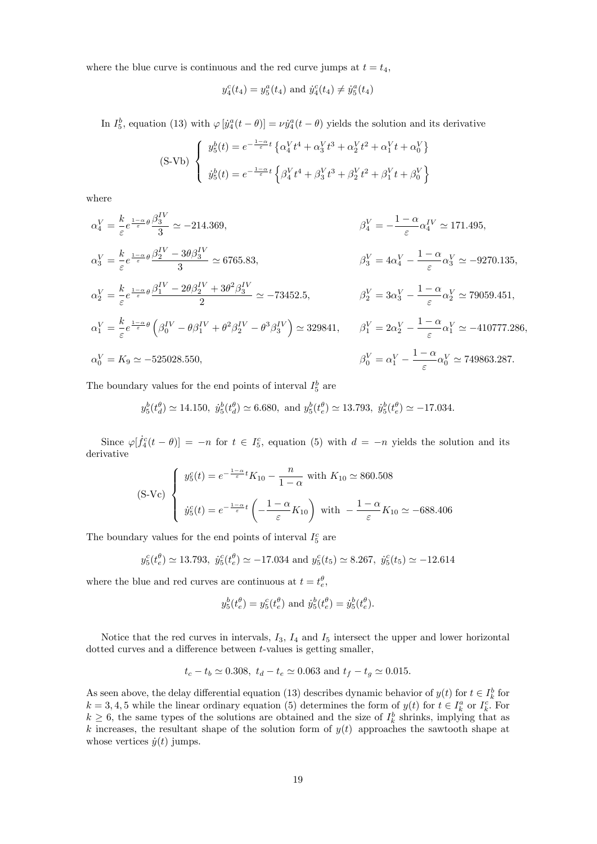where the blue curve is continuous and the red curve jumps at  $t = t_4$ ,

$$
y_4^c(t_4) = y_5^a(t_4)
$$
 and  $\dot{y}_4^c(t_4) \neq \dot{y}_5^a(t_4)$ 

In  $I_5^b$ , equation (13) with  $\varphi$   $[\dot{y}_4^a(t-\theta)] = \nu \dot{y}_4^a(t-\theta)$  yields the solution and its derivative

$$
\text{(S-Vb)} \begin{cases} y_5^b(t) = e^{-\frac{1-\alpha}{\varepsilon}t} \left\{ \alpha_4^V t^4 + \alpha_3^V t^3 + \alpha_2^V t^2 + \alpha_1^V t + \alpha_0^V \right\} \\ y_5^b(t) = e^{-\frac{1-\alpha}{\varepsilon}t} \left\{ \beta_4^V t^4 + \beta_3^V t^3 + \beta_2^V t^2 + \beta_1^V t + \beta_0^V \right\} \end{cases}
$$

where

$$
\alpha_4^V = \frac{k}{\varepsilon} e^{\frac{1-\alpha}{\varepsilon} \theta} \frac{\beta_3^{IV}}{3} \simeq -214.369,
$$
\n
$$
\beta_4^V = -\frac{1-\alpha}{\varepsilon} \alpha_4^{IV} \simeq 171.495,
$$
\n
$$
\alpha_3^V = \frac{k}{\varepsilon} e^{\frac{1-\alpha}{\varepsilon} \theta} \frac{\beta_2^{IV} - 3\theta \beta_3^{IV}}{3} \simeq 6765.83,
$$
\n
$$
\beta_3^V = 4\alpha_4^V - \frac{1-\alpha}{\varepsilon} \alpha_3^V \simeq -9270.135,
$$
\n
$$
\alpha_2^V = \frac{k}{\varepsilon} e^{\frac{1-\alpha}{\varepsilon} \theta} \frac{\beta_1^{IV} - 2\theta \beta_2^{IV} + 3\theta^2 \beta_3^{IV}}{2} \simeq -73452.5,
$$
\n
$$
\beta_2^V = 3\alpha_3^V - \frac{1-\alpha}{\varepsilon} \alpha_2^V \simeq 79059.451,
$$
\n
$$
\alpha_1^V = \frac{k}{\varepsilon} e^{\frac{1-\alpha}{\varepsilon} \theta} \left( \beta_0^{IV} - \theta \beta_1^{IV} + \theta^2 \beta_2^{IV} - \theta^3 \beta_3^{IV} \right) \simeq 329841,
$$
\n
$$
\beta_1^V = 2\alpha_2^V - \frac{1-\alpha}{\varepsilon} \alpha_1^V \simeq -410777.286,
$$
\n
$$
\alpha_0^V = K_9 \simeq -525028.550,
$$
\n
$$
\beta_0^V = \alpha_1^V - \frac{1-\alpha}{\varepsilon} \alpha_0^V \simeq 749863.287.
$$

The boundary values for the end points of interval  $I_5^b$  are

$$
y_5^b(t_d^{\theta}) \simeq 14.150, \quad y_5^b(t_d^{\theta}) \simeq 6.680, \quad y_5^b(t_e^{\theta}) \simeq 13.793, \quad y_5^b(t_e^{\theta}) \simeq -17.034.
$$

Since  $\varphi[\dot{f}_4^c(t-\theta)] = -n$  for  $t \in I_5^c$ , equation (5) with  $d = -n$  yields the solution and its derivative

$$
\text{(S-Vc)} \begin{cases} y_5^c(t) = e^{-\frac{1-\alpha}{\varepsilon}t} K_{10} - \frac{n}{1-\alpha} \text{ with } K_{10} \simeq 860.508\\ y_5^c(t) = e^{-\frac{1-\alpha}{\varepsilon}t} \left(-\frac{1-\alpha}{\varepsilon} K_{10}\right) \text{ with } -\frac{1-\alpha}{\varepsilon} K_{10} \simeq -688.406 \end{cases}
$$

The boundary values for the end points of interval  $I_5^c$  are

$$
y_5^c(t_e^{\theta}) \simeq 13.793
$$
,  $\dot{y}_5^c(t_e^{\theta}) \simeq -17.034$  and  $y_5^c(t_5) \simeq 8.267$ ,  $\dot{y}_5^c(t_5) \simeq -12.614$ 

where the blue and red curves are continuous at  $t = t_e^{\theta}$ ,

$$
y_5^b(t_e^{\theta}) = y_5^c(t_e^{\theta})
$$
 and  $\dot{y}_5^b(t_e^{\theta}) = \dot{y}_5^b(t_e^{\theta})$ .

Notice that the red curves in intervals,  $I_3$ ,  $I_4$  and  $I_5$  intersect the upper and lower horizontal dotted curves and a difference between  $t$ -values is getting smaller,

$$
t_c - t_b \simeq 0.308
$$
,  $t_d - t_e \simeq 0.063$  and  $t_f - t_g \simeq 0.015$ .

As seen above, the delay differential equation (13) describes dynamic behavior of  $y(t)$  for  $t \in I_k^b$  for  $k = 3, 4, 5$  while the linear ordinary equation (5) determines the form of  $y(t)$  for  $t \in I_k^a$  or  $I_k^c$ . For  $k \geq 6$ , the same types of the solutions are obtained and the size of  $I_k^b$  shrinks, implying that as k increases, the resultant shape of the solution form of  $y(t)$  approaches the sawtooth shape at whose vertices  $\dot{y}(t)$  jumps.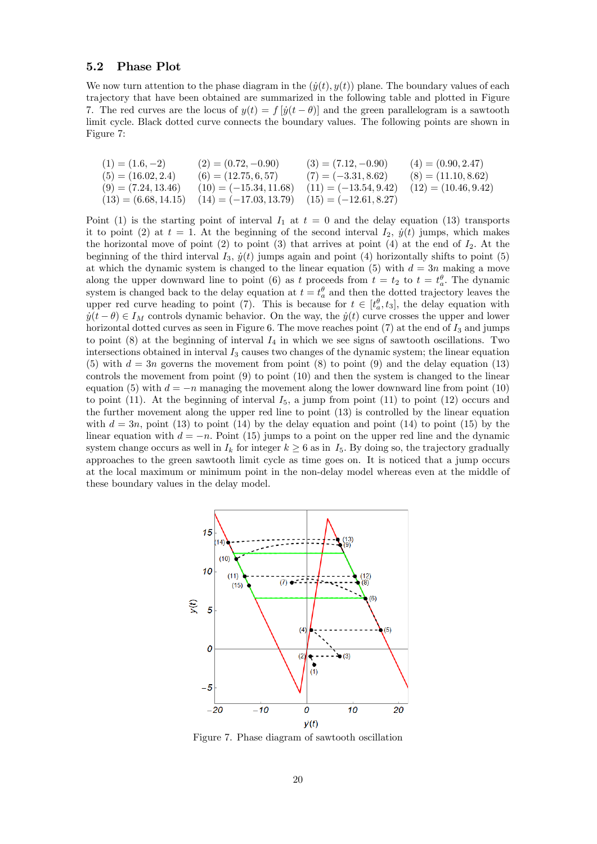#### 5.2 Phase Plot

We now turn attention to the phase diagram in the  $(\dot{y}(t), y(t))$  plane. The boundary values of each trajectory that have been obtained are summarized in the following table and plotted in Figure 7. The red curves are the locus of  $y(t) = f(y(t - \theta))$  and the green parallelogram is a sawtooth limit cycle. Black dotted curve connects the boundary values. The following points are shown in Figure 7:

$$
(1) = (1.6, -2)
$$
\n
$$
(2) = (0.72, -0.90)
$$
\n
$$
(3) = (7.12, -0.90)
$$
\n
$$
(4) = (0.90, 2.47)
$$
\n
$$
(5) = (16.02, 2.4)
$$
\n
$$
(6) = (12.75, 6, 57)
$$
\n
$$
(7) = (-3.31, 8.62)
$$
\n
$$
(8) = (11.10, 8.62)
$$
\n
$$
(9) = (7.24, 13.46)
$$
\n
$$
(10) = (-15.34, 11.68)
$$
\n
$$
(11) = (-13.54, 9.42)
$$
\n
$$
(12) = (10.46, 9.42)
$$
\n
$$
(13) = (6.68, 14.15)
$$
\n
$$
(14) = (-17.03, 13.79)
$$
\n
$$
(15) = (-12.61, 8.27)
$$

Point (1) is the starting point of interval  $I_1$  at  $t = 0$  and the delay equation (13) transports it to point (2) at  $t = 1$ . At the beginning of the second interval  $I_2$ ,  $\dot{y}(t)$  jumps, which makes the horizontal move of point (2) to point (3) that arrives at point (4) at the end of  $I_2$ . At the beginning of the third interval  $I_3$ ,  $\dot{y}(t)$  jumps again and point (4) horizontally shifts to point (5) at which the dynamic system is changed to the linear equation (5) with  $d = 3n$  making a move along the upper downward line to point (6) as t proceeds from  $t = t_2$  to  $t = t_a^{\theta}$ . The dynamic system is changed back to the delay equation at  $t = t_a^{\theta}$  and then the dotted trajectory leaves the upper red curve heading to point (7). This is because for  $t \in [t_a^{\theta}, t_3]$ , the delay equation with  $\dot{y}(t - \theta) \in I_M$  controls dynamic behavior. On the way, the  $\dot{y}(t)$  curve crosses the upper and lower horizontal dotted curves as seen in Figure 6. The move reaches point  $(7)$  at the end of  $I_3$  and jumps to point  $(8)$  at the beginning of interval  $I_4$  in which we see signs of sawtooth oscillations. Two intersections obtained in interval  $I_3$  causes two changes of the dynamic system; the linear equation (5) with  $d = 3n$  governs the movement from point (8) to point (9) and the delay equation (13) controls the movement from point (9) to point (10) and then the system is changed to the linear equation (5) with  $d = -n$  managing the movement along the lower downward line from point (10) to point (11). At the beginning of interval  $I_5$ , a jump from point (11) to point (12) occurs and the further movement along the upper red line to point (13) is controlled by the linear equation with  $d = 3n$ , point (13) to point (14) by the delay equation and point (14) to point (15) by the linear equation with  $d = -n$ . Point (15) jumps to a point on the upper red line and the dynamic system change occurs as well in  $I_k$  for integer  $k \geq 6$  as in  $I_5$ . By doing so, the trajectory gradually approaches to the green sawtooth limit cycle as time goes on. It is noticed that a jump occurs at the local maximum or minimum point in the non-delay model whereas even at the middle of these boundary values in the delay model.



Figure 7. Phase diagram of sawtooth oscillation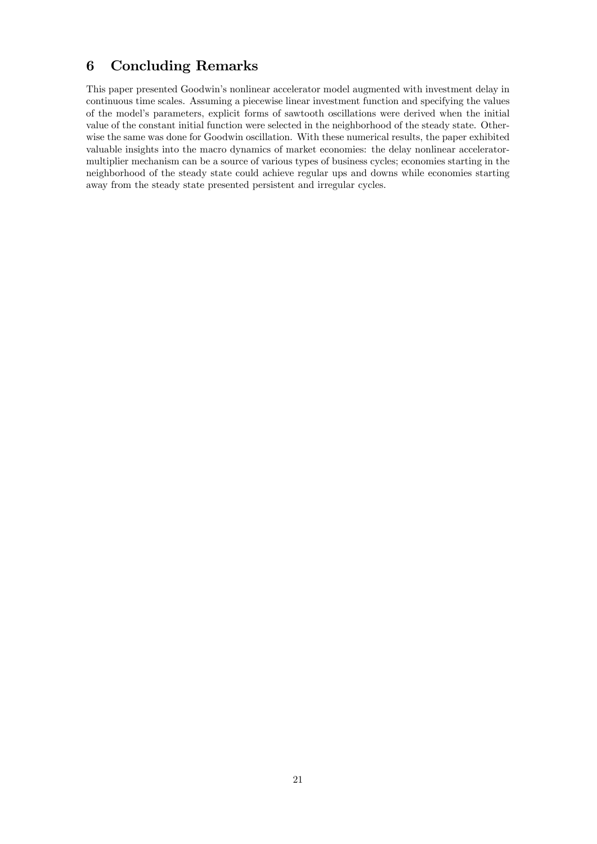# 6 Concluding Remarks

This paper presented Goodwin's nonlinear accelerator model augmented with investment delay in continuous time scales. Assuming a piecewise linear investment function and specifying the values of the modelís parameters, explicit forms of sawtooth oscillations were derived when the initial value of the constant initial function were selected in the neighborhood of the steady state. Otherwise the same was done for Goodwin oscillation. With these numerical results, the paper exhibited valuable insights into the macro dynamics of market economies: the delay nonlinear acceleratormultiplier mechanism can be a source of various types of business cycles; economies starting in the neighborhood of the steady state could achieve regular ups and downs while economies starting away from the steady state presented persistent and irregular cycles.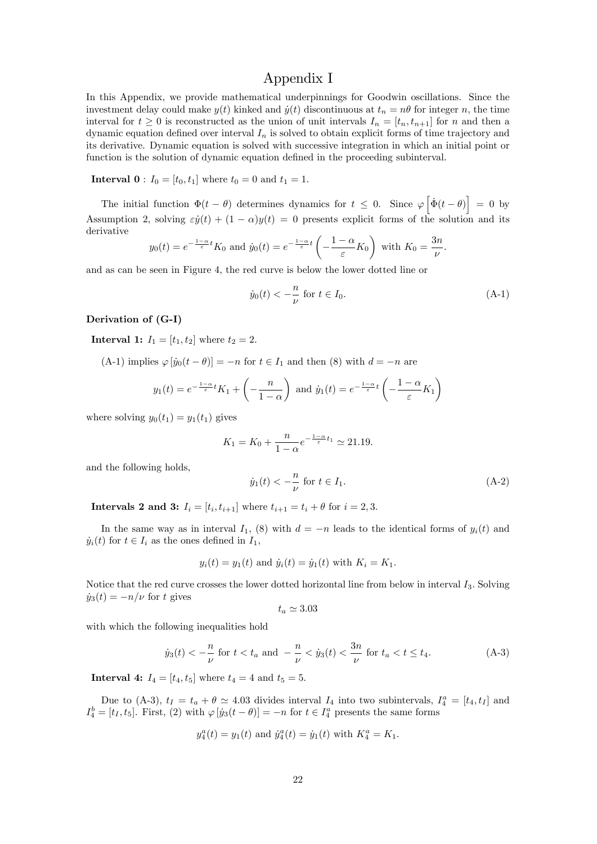## Appendix I

In this Appendix, we provide mathematical underpinnings for Goodwin oscillations. Since the investment delay could make  $y(t)$  kinked and  $\dot{y}(t)$  discontinuous at  $t_n = n\theta$  for integer n, the time interval for  $t \geq 0$  is reconstructed as the union of unit intervals  $I_n = [t_n, t_{n+1}]$  for n and then a dynamic equation defined over interval  $I_n$  is solved to obtain explicit forms of time trajectory and its derivative. Dynamic equation is solved with successive integration in which an initial point or function is the solution of dynamic equation defined in the proceeding subinterval.

**Interval 0** :  $I_0 = [t_0, t_1]$  where  $t_0 = 0$  and  $t_1 = 1$ .

The initial function  $\Phi(t - \theta)$  determines dynamics for  $t \leq 0$ . Since  $\varphi\left[\dot{\Phi}(t - \theta)\right] = 0$  by Assumption 2, solving  $\varepsilon y(t) + (1 - \alpha)y(t) = 0$  presents explicit forms of the solution and its derivative

$$
y_0(t) = e^{-\frac{1-\alpha}{\varepsilon}t} K_0
$$
 and  $\dot{y}_0(t) = e^{-\frac{1-\alpha}{\varepsilon}t} \left(-\frac{1-\alpha}{\varepsilon} K_0\right)$  with  $K_0 = \frac{3n}{\nu}$ 

and as can be seen in Figure 4, the red curve is below the lower dotted line or

$$
\dot{y}_0(t) < -\frac{n}{\nu} \text{ for } t \in I_0. \tag{A-1}
$$

:

#### Derivation of (G-I)

**Interval 1:**  $I_1 = [t_1, t_2]$  where  $t_2 = 2$ .

(A-1) implies  $\varphi [ \dot{y}_0(t - \theta) ] = -n$  for  $t \in I_1$  and then (8) with  $d = -n$  are

$$
y_1(t) = e^{-\frac{1-\alpha}{\varepsilon}t} K_1 + \left(-\frac{n}{1-\alpha}\right)
$$
 and  $\dot{y}_1(t) = e^{-\frac{1-\alpha}{\varepsilon}t} \left(-\frac{1-\alpha}{\varepsilon}K_1\right)$ 

where solving  $y_0(t_1) = y_1(t_1)$  gives

$$
K_1 = K_0 + \frac{n}{1 - \alpha} e^{-\frac{1 - \alpha}{\varepsilon} t_1} \simeq 21.19.
$$

and the following holds,

$$
\dot{y}_1(t) < -\frac{n}{\nu}
$$
 for  $t \in I_1$ . (A-2)

**Intervals 2 and 3:**  $I_i = [t_i, t_{i+1}]$  where  $t_{i+1} = t_i + \theta$  for  $i = 2, 3$ .

In the same way as in interval  $I_1$ , (8) with  $d = -n$  leads to the identical forms of  $y_i(t)$  and  $\dot{y}_i(t)$  for  $t \in I_i$  as the ones defined in  $I_1$ ,

$$
y_i(t) = y_1(t)
$$
 and  $\dot{y}_i(t) = \dot{y}_1(t)$  with  $K_i = K_1$ .

Notice that the red curve crosses the lower dotted horizontal line from below in interval  $I_3$ . Solving  $\dot{y}_3(t) = -n/\nu$  for t gives

$$
t_a \simeq 3.03
$$

with which the following inequalities hold

$$
\dot{y}_3(t) < -\frac{n}{\nu}
$$
 for  $t < t_a$  and  $-\frac{n}{\nu} < \dot{y}_3(t) < \frac{3n}{\nu}$  for  $t_a < t \le t_4$ . (A-3)

**Interval 4:**  $I_4 = [t_4, t_5]$  where  $t_4 = 4$  and  $t_5 = 5$ .

Due to (A-3),  $t_I = t_a + \theta \simeq 4.03$  divides interval  $I_4$  into two subintervals,  $I_4^a = [t_4, t_I]$  and  $I_4^b = [t_1, t_5]$ . First, (2) with  $\varphi$   $[\dot{y}_3(t-\theta)] = -n$  for  $t \in I_4^a$  presents the same forms

$$
y_4^a(t) = y_1(t)
$$
 and  $\dot{y}_4^a(t) = \dot{y}_1(t)$  with  $K_4^a = K_1$ .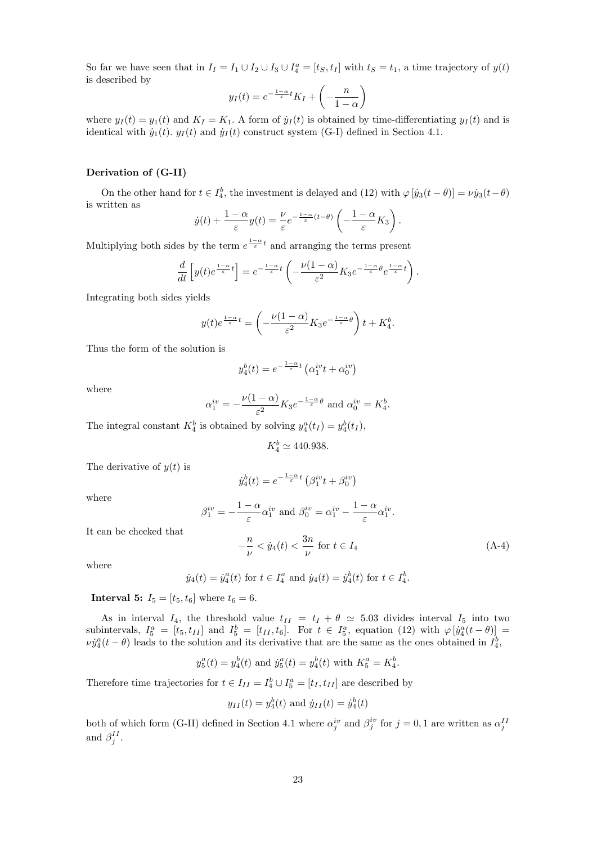So far we have seen that in  $I_I = I_1 \cup I_2 \cup I_3 \cup I_4^a = [t_S, t_I]$  with  $t_S = t_1$ , a time trajectory of  $y(t)$ is described by

$$
y_I(t) = e^{-\frac{1-\alpha}{\varepsilon}t} K_I + \left(-\frac{n}{1-\alpha}\right)
$$

where  $y_I(t) = y_1(t)$  and  $K_I = K_1$ . A form of  $\dot{y}_I (t)$  is obtained by time-differentiating  $y_I (t)$  and is identical with  $\dot{y}_1(t)$ .  $y_I (t)$  and  $\dot{y}_I (t)$  construct system (G-I) defined in Section 4.1.

## Derivation of (G-II)

On the other hand for  $t \in I_4^b$ , the investment is delayed and (12) with  $\varphi$   $[\dot{y}_3(t - \theta)] = \nu \dot{y}_3(t - \theta)$ is written as

$$
\dot{y}(t) + \frac{1-\alpha}{\varepsilon}y(t) = \frac{\nu}{\varepsilon}e^{-\frac{1-\alpha}{\varepsilon}(t-\theta)}\left(-\frac{1-\alpha}{\varepsilon}K_3\right).
$$

Multiplying both sides by the term  $e^{\frac{1-\alpha}{\varepsilon}t}$  and arranging the terms present

$$
\frac{d}{dt}\left[y(t)e^{\frac{1-\alpha}{\varepsilon}t}\right] = e^{-\frac{1-\alpha}{\varepsilon}t}\left(-\frac{\nu(1-\alpha)}{\varepsilon^2}K_3e^{-\frac{1-\alpha}{\varepsilon}\theta}e^{\frac{1-\alpha}{\varepsilon}t}\right).
$$

Integrating both sides yields

$$
y(t)e^{\frac{1-\alpha}{\varepsilon}t} = \left(-\frac{\nu(1-\alpha)}{\varepsilon^2}K_3e^{-\frac{1-\alpha}{\varepsilon}\theta}\right)t + K_4^b.
$$

Thus the form of the solution is

$$
y_4^b(t) = e^{-\frac{1-\alpha}{\varepsilon}t} \left( \alpha_1^{iv} t + \alpha_0^{iv} \right)
$$

where

$$
\alpha_1^{iv} = -\frac{\nu(1-\alpha)}{\varepsilon^2} K_3 e^{-\frac{1-\alpha}{\varepsilon}\theta} \text{ and } \alpha_0^{iv} = K_4^b.
$$

The integral constant  $K_4^b$  is obtained by solving  $y_4^a(t_I) = y_4^b(t_I)$ ,

$$
K_4^b \simeq 440.938.
$$

The derivative of  $y(t)$  is

It can be checked that

$$
\dot{y}_4^b(t) = e^{-\frac{1-\alpha}{\varepsilon}t} \left( \beta_1^{iv} t + \beta_0^{iv} \right)
$$

where

$$
\beta_1^{iv} = -\frac{1-\alpha}{\varepsilon} \alpha_1^{iv} \text{ and } \beta_0^{iv} = \alpha_1^{iv} - \frac{1-\alpha}{\varepsilon} \alpha_1^{iv}.
$$

$$
-\frac{n}{\nu} < j_4(t) < \frac{3n}{\nu} \text{ for } t \in I_4
$$
(A-4)

where

$$
\dot{y}_4(t) = \dot{y}_4^a(t)
$$
 for  $t \in I_4^a$  and  $\dot{y}_4(t) = \dot{y}_4^b(t)$  for  $t \in I_4^b$ .

**Interval 5:**  $I_5 = [t_5, t_6]$  where  $t_6 = 6$ .

As in interval  $I_4$ , the threshold value  $t_{II} = t_I + \theta \simeq 5.03$  divides interval  $I_5$  into two subintervals,  $I_5^a = [t_5, t_{II}]$  and  $I_5^b = [t_{II}, t_6]$ . For  $t \in I_5^a$ , equation (12) with  $\varphi \left[ \dot{y}_4^a(t-\theta) \right] =$  $\nu \dot{y}_4^a(t-\theta)$  leads to the solution and its derivative that are the same as the ones obtained in  $I_4^b$ ,

$$
y_5^a(t) = y_4^b(t)
$$
 and  $\dot{y}_5^a(t) = y_4^b(t)$  with  $K_5^a = K_4^b$ .

Therefore time trajectories for  $t \in I_{II} = I_4^b \cup I_5^a = [t_I, t_{II}]$  are described by

$$
y_{II}(t) = y_4^b(t)
$$
 and  $\dot{y}_{II}(t) = \dot{y}_4^b(t)$ 

both of which form (G-II) defined in Section 4.1 where  $\alpha_j^{iv}$  and  $\beta_j^{iv}$  for  $j = 0, 1$  are written as  $\alpha_j^{II}$ and  $\beta_j^{II}$ .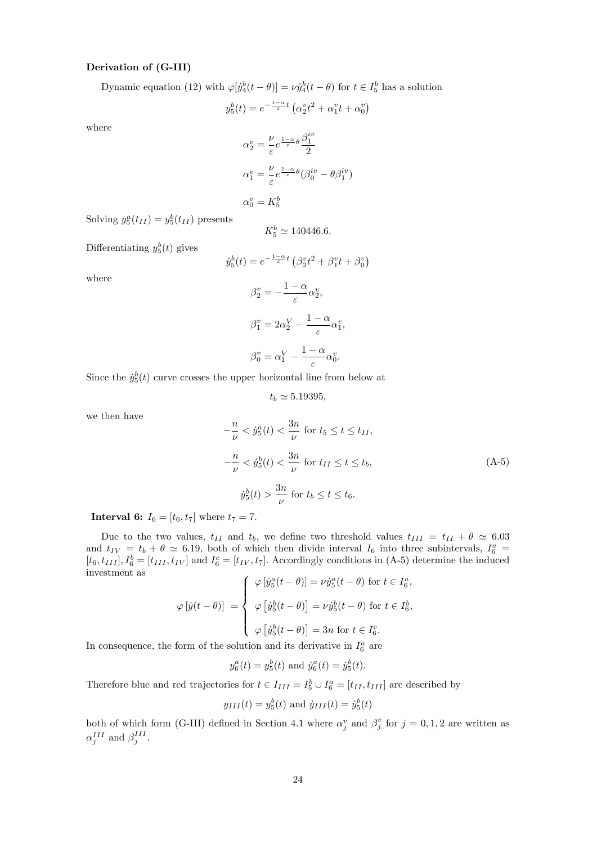#### Derivation of (G-III)

Dynamic equation (12) with  $\varphi[j_4^b(t-\theta)] = \nu j_4^b(t-\theta)$  for  $t \in I_5^b$  has a solution

$$
y_5^b(t) = e^{-\frac{1-\alpha}{\varepsilon}t} \left( \alpha_2^v t^2 + \alpha_1^v t + \alpha_0^v \right)
$$

where

$$
\alpha_2^v = \frac{\nu}{\varepsilon} e^{\frac{1-\alpha}{\varepsilon}\theta} \frac{\beta_1^{iv}}{2}
$$

$$
\alpha_1^v = \frac{\nu}{\varepsilon} e^{\frac{1-\alpha}{\varepsilon}\theta} (\beta_0^{iv} - \theta \beta_1^{iv})
$$

$$
\alpha_0^v = K_5^b
$$

Solving  $y_5^a(t_{II}) = y_5^b(t_{II})$  presents

$$
K_5^b \simeq 140446.6.
$$

Differentiating  $y_5^b(t)$  gives

$$
\dot{y}_5^b(t) = e^{-\frac{1-\alpha}{\varepsilon}t} \left(\beta_2^v t^2 + \beta_1^v t + \beta_0^v\right)
$$

where

$$
\beta_2^v = -\frac{1-\alpha}{\varepsilon} \alpha_2^v,
$$
  

$$
\beta_1^v = 2\alpha_2^V - \frac{1-\alpha}{\varepsilon} \alpha_1^v,
$$
  

$$
\beta_0^v = \alpha_1^V - \frac{1-\alpha}{\varepsilon} \alpha_0^v.
$$

Since the  $\dot{y}_5^b(t)$  curve crosses the upper horizontal line from below at

$$
t_b \simeq 5.19395,
$$

we then have

$$
-\frac{n}{\nu} < \dot{y}_5^a(t) < \frac{3n}{\nu} \text{ for } t_5 \le t \le t_{II},
$$
\n
$$
-\frac{n}{\nu} < \dot{y}_5^b(t) < \frac{3n}{\nu} \text{ for } t_{II} \le t \le t_b,
$$
\n
$$
\dot{y}_5^b(t) > \frac{3n}{\nu} \text{ for } t_b \le t \le t_6.
$$
\n(A-5)

**Interval 6:**  $I_6 = [t_6, t_7]$  where  $t_7 = 7$ .

Due to the two values,  $t_{II}$  and  $t_b$ , we define two threshold values  $t_{III} = t_{II} + \theta \simeq 6.03$ and  $t_{IV} = t_b + \theta \simeq 6.19$ , both of which then divide interval  $I_6$  into three subintervals,  $I_6^a$  $[t_6, t_{III}], I_6^b = [t_{III}, t_{IV}]$  and  $I_6^c = [t_{IV}, t_7]$ . Accordingly conditions in (A-5) determine the induced investment as

$$
\varphi[\dot{y}(t-\theta)] = \begin{cases} \varphi[\dot{y}_5^a(t-\theta)] = \nu \dot{y}_5^a(t-\theta) \text{ for } t \in I_6^a, \\ \varphi[\dot{y}_5^b(t-\theta)] = \nu \dot{y}_5^b(t-\theta) \text{ for } t \in I_6^b, \\ \varphi[\dot{y}_5^b(t-\theta)] = 3n \text{ for } t \in I_6^c. \end{cases}
$$

In consequence, the form of the solution and its derivative in  $I_6^a$  are

$$
y_6^a(t) = y_5^b(t)
$$
 and  $\dot{y}_6^a(t) = \dot{y}_5^b(t)$ .

Therefore blue and red trajectories for  $t \in I_{III} = I_5^b \cup I_6^a = [t_{II}, t_{III}]$  are described by

$$
y_{III}(t) = y_5^b(t)
$$
 and  $\dot{y}_{III}(t) = \dot{y}_5^b(t)$ 

both of which form (G-III) defined in Section 4.1 where  $\alpha_j^v$  and  $\beta_j^v$  for  $j = 0, 1, 2$  are written as  $\alpha_j^{III}$  and  $\beta_j^{III}$ .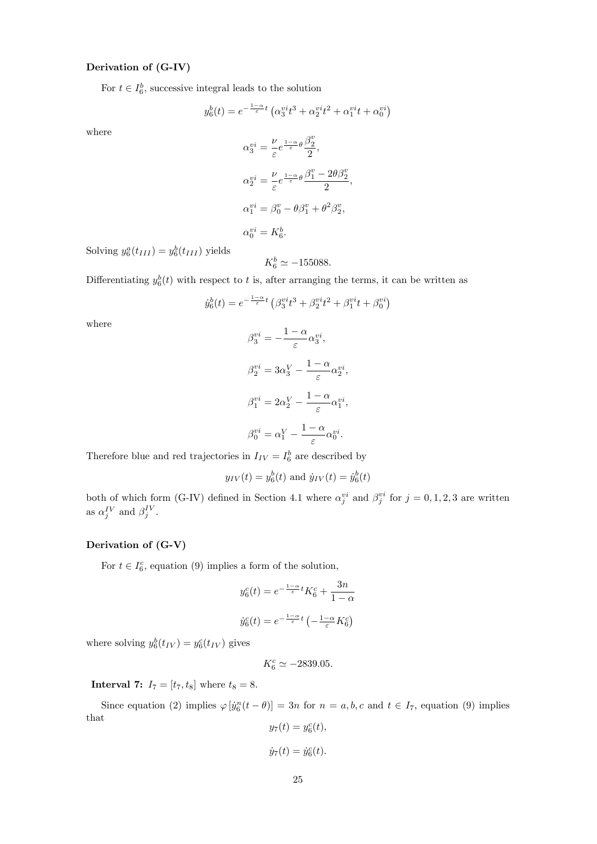## Derivation of (G-IV)

For  $t \in I_6^b$ , successive integral leads to the solution

$$
y_6^b(t) = e^{-\frac{1-\alpha}{\varepsilon}t} \left( \alpha_3^{v i} t^3 + \alpha_2^{v i} t^2 + \alpha_1^{v i} t + \alpha_0^{v i} \right)
$$

where

$$
\alpha_3^{vi} = \frac{\nu}{\varepsilon} e^{\frac{1-\alpha}{\varepsilon} \theta} \frac{\beta_2^v}{2},
$$
  
\n
$$
\alpha_2^{vi} = \frac{\nu}{\varepsilon} e^{\frac{1-\alpha}{\varepsilon} \theta} \frac{\beta_1^v - 2\theta \beta_2^v}{2},
$$
  
\n
$$
\alpha_1^{vi} = \beta_0^v - \theta \beta_1^v + \theta^2 \beta_2^v,
$$
  
\n
$$
\alpha_0^{vi} = K_6^b.
$$

Solving  $y_6^a(t_{III}) = y_6^b(t_{III})$  yields

$$
K_6^b \simeq -155088.
$$

Differentiating  $y_6^b(t)$  with respect to t is, after arranging the terms, it can be written as

$$
\dot{y}_6^b(t)=e^{-\frac{1-\alpha}{\varepsilon}t}\left(\beta_3^{vi}t^3+\beta_2^{vi}t^2+\beta_1^{vi}t+\beta_0^{vi}\right)
$$

where

$$
\begin{array}{l} \beta_3^{vi}=-\displaystyle\frac{1-\alpha}{\varepsilon}\alpha_3^{vi},\\\\ \beta_2^{vi}=3\alpha_3^{V}-\displaystyle\frac{1-\alpha}{\varepsilon}\alpha_2^{vi},\\\\ \beta_1^{vi}=2\alpha_2^{V}-\displaystyle\frac{1-\alpha}{\varepsilon}\alpha_1^{vi},\\\\ \beta_0^{vi}=\alpha_1^{V}-\displaystyle\frac{1-\alpha}{\varepsilon}\alpha_0^{vi}.\end{array}
$$

Therefore blue and red trajectories in  $I_{IV} = I_6^b$  are described by

$$
y_{IV}(t) = y_6^b(t)
$$
 and  $\dot{y}_{IV}(t) = \dot{y}_6^b(t)$ 

both of which form (G-IV) defined in Section 4.1 where  $\alpha_j^{vi}$  and  $\beta_j^{vi}$  for  $j = 0, 1, 2, 3$  are written as  $\alpha_j^{IV}$  and  $\beta_j^{IV}$ .

## Derivation of (G-V)

For  $t \in I_6^c$ , equation (9) implies a form of the solution,

$$
y_6^c(t) = e^{-\frac{1-\alpha}{\varepsilon}t} K_6^c + \frac{3n}{1-\alpha}
$$

$$
\dot{y}_6^c(t) = e^{-\frac{1-\alpha}{\varepsilon}t} \left(-\frac{1-\alpha}{\varepsilon} K_6^c\right)
$$

where solving  $y_6^b(t_{IV}) = y_6^c(t_{IV})$  gives

$$
K_6^c\simeq -2839.05.
$$

**Interval 7:**  $I_7 = [t_7, t_8]$  where  $t_8 = 8$ .

Since equation (2) implies  $\varphi$   $[\dot{y}_6^n(t-\theta)] = 3n$  for  $n = a, b, c$  and  $t \in I_7$ , equation (9) implies that  $\sqrt{t}$ 

$$
y_7(t) = y_6^c(t),
$$

$$
\dot{y}_7(t) = \dot{y}_6^c(t).
$$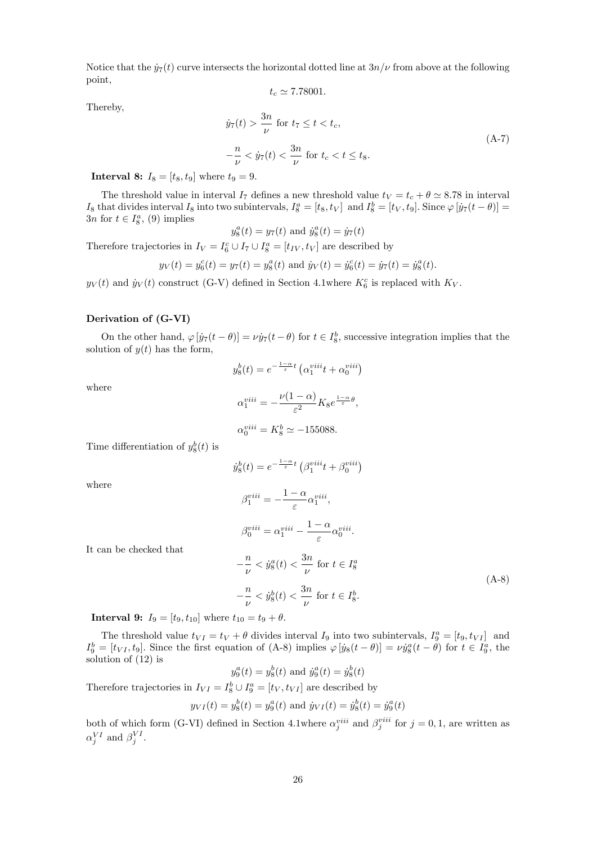Notice that the  $\dot{y}_7(t)$  curve intersects the horizontal dotted line at  $3n/\nu$  from above at the following point,

$$
t_c \simeq 7.78001.
$$

Thereby,

$$
\dot{y}_7(t) > \frac{3n}{\nu} \text{ for } t_7 \le t < t_c,
$$
\n
$$
-\frac{n}{\nu} < \dot{y}_7(t) < \frac{3n}{\nu} \text{ for } t_c < t \le t_8.
$$
\n(A-7)

**Interval 8:**  $I_8 = [t_8, t_9]$  where  $t_9 = 9$ .

The threshold value in interval  $I_7$  defines a new threshold value  $t_V = t_c + \theta \simeq 8.78$  in interval  $I_8$  that divides interval  $I_8$  into two subintervals,  $I_8^a = [t_8, t_V]$  and  $I_8^b = [t_V, t_9]$ . Since  $\varphi$   $[\dot{y}_7(t - \theta)] =$  $3n$  for  $t \in I_8^a$ , (9) implies

$$
y_8^a(t) = y_7(t)
$$
 and  $\dot{y}_8^a(t) = \dot{y}_7(t)$ 

Therefore trajectories in  $I_V = I_6^c \cup I_7 \cup I_8^a = [t_{IV}, t_V]$  are described by

$$
y_V(t) = y_6^c(t) = y_7(t) = y_8^a(t)
$$
 and  $\dot{y}_V(t) = \dot{y}_6^c(t) = \dot{y}_7(t) = \dot{y}_8^a(t)$ .

 $y_V(t)$  and  $\dot{y}_V(t)$  construct (G-V) defined in Section 4.1where  $K_6^c$  is replaced with  $K_V$ .

### Derivation of (G-VI)

On the other hand,  $\varphi[\dot{y}_7(t-\theta)] = \nu \dot{y}_7(t-\theta)$  for  $t \in I_8^b$ , successive integration implies that the solution of  $y(t)$  has the form,

$$
y_8^b(t) = e^{-\frac{1-\alpha}{\varepsilon}t} \left( \alpha_1^{viii}t + \alpha_0^{viii} \right)
$$

where

where

$$
\alpha_1^{viii} = -\frac{\nu(1-\alpha)}{\varepsilon^2} K_8 e^{\frac{1-\alpha}{\varepsilon}\theta},
$$

$$
\alpha_0^{viii} = K_8^b \simeq -155088.
$$

Time differentiation of  $y_8^b(t)$  is

$$
\dot{y}_8^b(t) = e^{-\frac{1-\alpha}{\varepsilon}t} \left( \beta_1^{viii}t + \beta_0^{viii} \right)
$$

$$
\beta_1^{viii} = -\frac{1-\alpha}{\varepsilon} \alpha_1^{viii},
$$

$$
\beta_0^{viii} = \alpha_1^{viii} - \frac{1-\alpha}{\varepsilon} \alpha_0^{viii}.
$$

It can be checked that

$$
-\frac{n}{\nu} < \dot{y}_8^a(t) < \frac{3n}{\nu} \text{ for } t \in I_8^a
$$
\n
$$
-\frac{n}{\nu} < \dot{y}_8^b(t) < \frac{3n}{\nu} \text{ for } t \in I_8^b. \tag{A-8}
$$

**Interval 9:**  $I_9 = [t_9, t_{10}]$  where  $t_{10} = t_9 + \theta$ .

The threshold value  $t_{VI} = t_V + \theta$  divides interval  $I_9$  into two subintervals,  $I_9^a = [t_9, t_{VI}]$  and  $I_9^b = [t_{VI}, t_9]$ . Since the first equation of (A-8) implies  $\varphi[y_8(t-\theta)] = \nu \dot{y}_8^a(t-\theta)$  for  $t \in I_9^a$ , the solution of (12) is

$$
y_9^a(t) = y_8^b(t)
$$
 and  $\dot{y}_9^a(t) = \dot{y}_8^b(t)$ 

Therefore trajectories in  $I_{VI} = I_8^b \cup I_9^a = [t_V, t_{VI}]$  are described by

$$
y_{VI}(t) = y_8^b(t) = y_9^a(t)
$$
 and  $\dot{y}_{VI}(t) = \dot{y}_8^b(t) = \dot{y}_9^a(t)$ 

both of which form (G-VI) defined in Section 4.1where  $\alpha_j^{viii}$  and  $\beta_j^{viii}$  for  $j = 0, 1$ , are written as  $\alpha_j^{VI}$  and  $\beta_j^{VI}$ .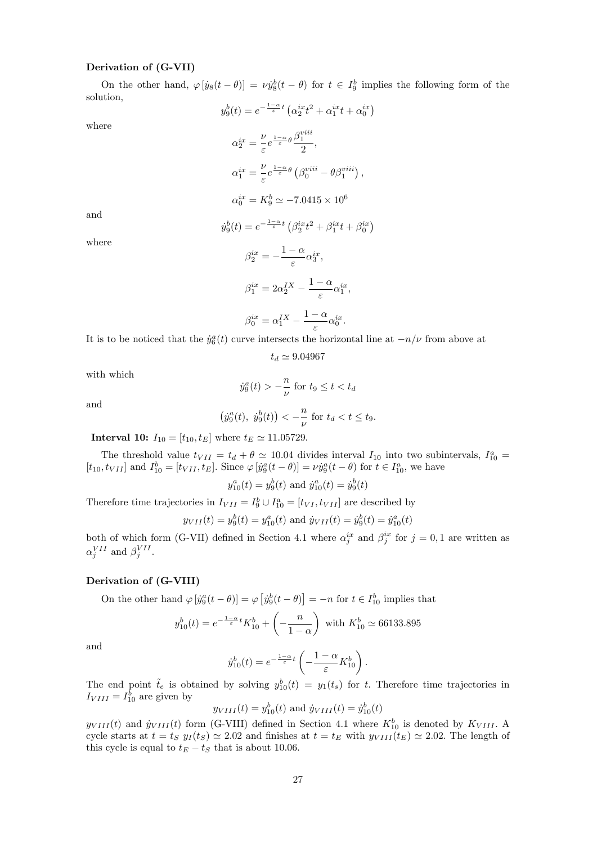### Derivation of (G-VII)

On the other hand,  $\varphi$   $[y_8(t - \theta)] = \nu \dot{y}_8^b(t - \theta)$  for  $t \in I_9^b$  implies the following form of the solution,  $y_9^b(t) = e^{-\frac{1-\alpha}{\varepsilon}t} \left( \alpha_2^{ix} t^2 + \alpha_1^{ix} t + \alpha_0^{ix} \right)$ 

where

$$
\alpha_2^{ix} = \frac{\nu}{\varepsilon} e^{\frac{1-\alpha}{\varepsilon}\theta} \frac{\beta_1^{viii}}{2},
$$
  
\n
$$
\alpha_1^{ix} = \frac{\nu}{\varepsilon} e^{\frac{1-\alpha}{\varepsilon}\theta} \left(\beta_0^{viii} - \theta \beta_1^{viii}\right),
$$
  
\n
$$
\alpha_0^{ix} = K_9^b \simeq -7.0415 \times 10^6
$$

and

$$
\dot{y}_9^b(t) = e^{-\frac{1-\alpha}{\varepsilon}t} \left( \beta_2^{ix} t^2 + \beta_1^{ix} t + \beta_0^{ix} \right)
$$

where

$$
\beta_2^{ix} = -\frac{1-\alpha}{\varepsilon} \alpha_3^{ix},
$$
  

$$
\beta_1^{ix} = 2\alpha_2^{IX} - \frac{1-\alpha}{\varepsilon} \alpha_1^{ix},
$$
  

$$
\beta_0^{ix} = \alpha_1^{IX} - \frac{1-\alpha}{\varepsilon} \alpha_0^{ix}.
$$

It is to be noticed that the  $\dot{y}_6^a(t)$  curve intersects the horizontal line at  $-n/\nu$  from above at

$$
t_d \simeq 9.04967
$$

with which

$$
\dot{y}_9^a(t) > -\frac{n}{\nu} \text{ for } t_9 \le t < t_d
$$

and

$$
(\dot{y}_9^a(t), \dot{y}_9^b(t)) < -\frac{n}{\nu}
$$
 for  $t_d < t \le t_9$ .

**Interval 10:**  $I_{10} = [t_{10}, t_E]$  where  $t_E \approx 11.05729$ .

The threshold value  $t_{VII} = t_d + \theta \simeq 10.04$  divides interval  $I_{10}$  into two subintervals,  $I_{10}^a$  $[t_{10}, t_{VII}]$  and  $I_{10}^b = [t_{VII}, t_E]$ . Since  $\varphi[j_9^a(t-\theta)] = \nu \dot{y}_9^a(t-\theta)$  for  $t \in I_{10}^a$ , we have

$$
y_{10}^a(t) = y_9^b(t)
$$
 and  $\dot{y}_{10}^a(t) = \dot{y}_9^b(t)$ 

Therefore time trajectories in  $I_{VII} = I_9^b \cup I_{10}^a = [t_{VI}, t_{VII}]$  are described by

$$
y_{VII}(t) = y_9^b(t) = y_{10}^a(t)
$$
 and  $\dot{y}_{VII}(t) = \dot{y}_9^b(t) = \dot{y}_{10}^a(t)$ 

both of which form (G-VII) defined in Section 4.1 where  $\alpha_j^{ix}$  and  $\beta_j^{ix}$  for  $j = 0, 1$  are written as  $\alpha_j^{VII}$  and  $\beta_j^{VII}$ .

## Derivation of (G-VIII)

On the other hand  $\varphi [ j g g(t - \theta) ] = \varphi [ j g g(t - \theta) ] = -n$  for  $t \in I_{10}^b$  implies that

$$
y_{10}^b(t) = e^{-\frac{1-\alpha}{\varepsilon}t} K_{10}^b + \left(-\frac{n}{1-\alpha}\right)
$$
 with  $K_{10}^b \simeq 66133.895$ 

and

$$
\dot{y}_{10}^b(t) = e^{-\frac{1-\alpha}{\varepsilon}t} \left(-\frac{1-\alpha}{\varepsilon}K_{10}^b\right).
$$

The end point  $\tilde{t}_e$  is obtained by solving  $y_{10}^b(t) = y_1(t_s)$  for t. Therefore time trajectories in  $I_{VIII} = I_{10}^{b}$  are given by

$$
y_{VIII}(t) = y_{10}^b(t)
$$
 and  $\dot{y}_{VIII}(t) = \dot{y}_{10}^b(t)$ 

 $y_{VIII}(t)$  and  $\dot{y}_{VIII}(t)$  form (G-VIII) defined in Section 4.1 where  $K_{10}^b$  is denoted by  $K_{VIII}$ . A cycle starts at  $t = t_S y_I(t_S) \approx 2.02$  and finishes at  $t = t_E$  with  $y_{VIII}(t_E) \approx 2.02$ . The length of this cycle is equal to  $t_E - t_S$  that is about 10.06.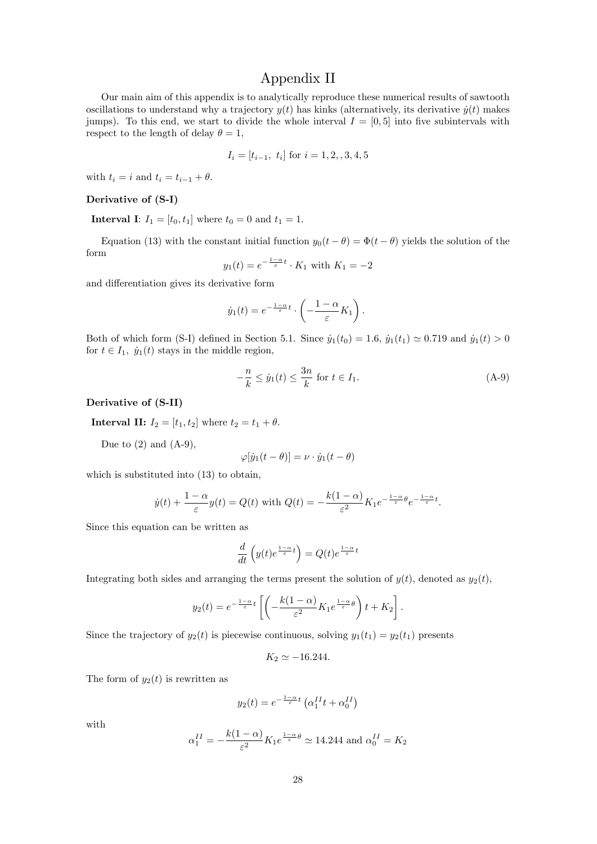# Appendix II

Our main aim of this appendix is to analytically reproduce these numerical results of sawtooth oscillations to understand why a trajectory  $y(t)$  has kinks (alternatively, its derivative  $\dot{y}(t)$  makes jumps). To this end, we start to divide the whole interval  $I = [0, 5]$  into five subintervals with respect to the length of delay  $\theta = 1$ ,

$$
I_i = [t_{i-1}, t_i] \text{ for } i = 1, 2, 3, 4, 5
$$

with  $t_i = i$  and  $t_i = t_{i-1} + \theta$ .

#### Derivative of (S-I)

**Interval I:**  $I_1 = [t_0, t_1]$  where  $t_0 = 0$  and  $t_1 = 1$ .

Equation (13) with the constant initial function  $y_0(t - \theta) = \Phi(t - \theta)$  yields the solution of the form

$$
y_1(t) = e^{-\frac{1-\alpha}{\varepsilon}t} \cdot K_1
$$
 with  $K_1 = -2$ 

and differentiation gives its derivative form

$$
\dot{y}_1(t) = e^{-\frac{1-\alpha}{\varepsilon}t} \cdot \left(-\frac{1-\alpha}{\varepsilon}K_1\right).
$$

Both of which form (S-I) defined in Section 5.1. Since  $\dot{y}_1(t_0) = 1.6$ ,  $\dot{y}_1(t_1) \approx 0.719$  and  $\dot{y}_1(t) > 0$ for  $t \in I_1$ ,  $\dot{y}_1(t)$  stays in the middle region,

$$
-\frac{n}{k} \le \dot{y}_1(t) \le \frac{3n}{k} \text{ for } t \in I_1.
$$
 (A-9)

Derivative of (S-II)

**Interval II:**  $I_2 = [t_1, t_2]$  where  $t_2 = t_1 + \theta$ .

Due to  $(2)$  and  $(A-9)$ ,

$$
\varphi[\dot{y}_1(t-\theta)] = \nu \cdot \dot{y}_1(t-\theta)
$$

which is substituted into (13) to obtain,

$$
\dot{y}(t) + \frac{1-\alpha}{\varepsilon}y(t) = Q(t) \text{ with } Q(t) = -\frac{k(1-\alpha)}{\varepsilon^2}K_1e^{-\frac{1-\alpha}{\varepsilon}\theta}e^{-\frac{1-\alpha}{\varepsilon}t}.
$$

Since this equation can be written as

$$
\frac{d}{dt}\left(y(t)e^{\frac{1-\alpha}{\varepsilon}t}\right) = Q(t)e^{\frac{1-\alpha}{\varepsilon}t}
$$

Integrating both sides and arranging the terms present the solution of  $y(t)$ , denoted as  $y_2(t)$ ,

$$
y_2(t) = e^{-\frac{1-\alpha}{\varepsilon}t} \left[ \left( -\frac{k(1-\alpha)}{\varepsilon^2} K_1 e^{\frac{1-\alpha}{\varepsilon} \theta} \right) t + K_2 \right].
$$

Since the trajectory of  $y_2(t)$  is piecewise continuous, solving  $y_1(t_1) = y_2(t_1)$  presents

$$
K_2 \simeq -16.244.
$$

The form of  $y_2(t)$  is rewritten as

$$
y_2(t) = e^{-\frac{1-\alpha}{\varepsilon}t} \left( \alpha_1^{II} t + \alpha_0^{II} \right)
$$

with

$$
\alpha_1^{II} = -\frac{k(1-\alpha)}{\varepsilon^2} K_1 e^{\frac{1-\alpha}{\varepsilon}\theta} \simeq 14.244 \text{ and } \alpha_0^{II} = K_2
$$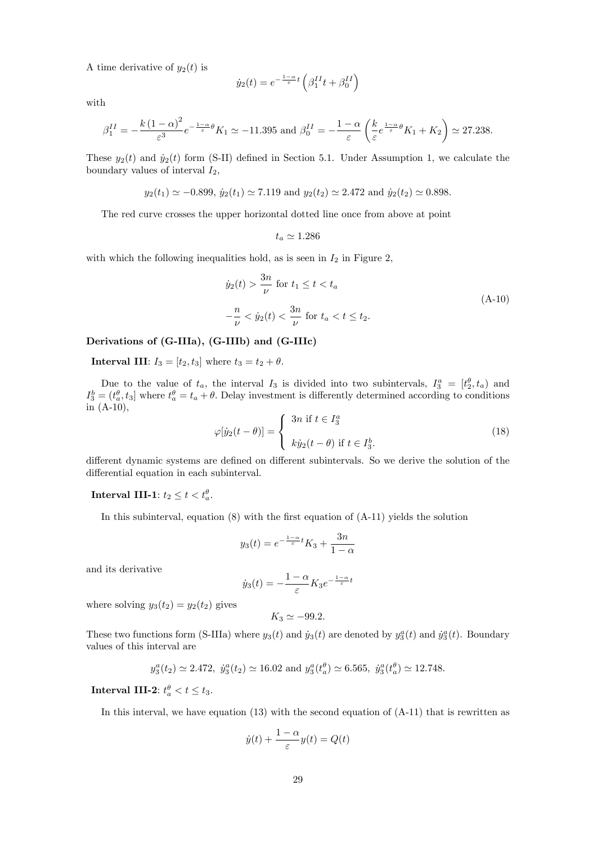A time derivative of  $y_2(t)$  is

$$
\dot{y}_2(t) = e^{-\frac{1-\alpha}{\varepsilon}t} \left( \beta_1^{II} t + \beta_0^{II} \right)
$$

with

$$
\beta_1^{II} = -\frac{k(1-\alpha)^2}{\varepsilon^3} e^{-\frac{1-\alpha}{\varepsilon}\theta} K_1 \simeq -11.395 \text{ and } \beta_0^{II} = -\frac{1-\alpha}{\varepsilon} \left(\frac{k}{\varepsilon} e^{\frac{1-\alpha}{\varepsilon}\theta} K_1 + K_2\right) \simeq 27.238.
$$

These  $y_2(t)$  and  $\dot{y}_2(t)$  form (S-II) defined in Section 5.1. Under Assumption 1, we calculate the boundary values of interval  $I_2$ ,

$$
y_2(t_1) \simeq -0.899
$$
,  $\dot{y}_2(t_1) \simeq 7.119$  and  $y_2(t_2) \simeq 2.472$  and  $\dot{y}_2(t_2) \simeq 0.898$ .

The red curve crosses the upper horizontal dotted line once from above at point

$$
t_a \simeq 1.286
$$

with which the following inequalities hold, as is seen in  $I_2$  in Figure 2,

$$
\dot{y}_2(t) > \frac{3n}{\nu} \text{ for } t_1 \le t < t_a
$$
\n
$$
-\frac{n}{\nu} < \dot{y}_2(t) < \frac{3n}{\nu} \text{ for } t_a < t \le t_2.
$$
\n(A-10)

### Derivations of (G-IIIa), (G-IIIb) and (G-IIIc)

**Interval III:**  $I_3 = [t_2, t_3]$  where  $t_3 = t_2 + \theta$ .

Due to the value of  $t_a$ , the interval  $I_3$  is divided into two subintervals,  $I_3^a = [t_2^b, t_a]$  and  $I_3^b = (t_a^{\theta}, t_3]$  where  $t_a^{\theta} = t_a + \theta$ . Delay investment is differently determined according to conditions in (A-10),

$$
\varphi[\dot{y}_2(t-\theta)] = \begin{cases} 3n \text{ if } t \in I_3^a \\ k\dot{y}_2(t-\theta) \text{ if } t \in I_3^b. \end{cases}
$$
 (18)

different dynamic systems are defined on different subintervals. So we derive the solution of the differential equation in each subinterval.

# Interval III-1:  $t_2 \leq t < t_a^{\theta}$ .

In this subinterval, equation  $(8)$  with the first equation of  $(A-11)$  yields the solution

$$
y_3(t) = e^{-\frac{1-\alpha}{\varepsilon}t} K_3 + \frac{3n}{1-\alpha}
$$

and its derivative

$$
\dot{y}_3(t) = -\frac{1-\alpha}{\varepsilon} K_3 e^{-\frac{1-\alpha}{\varepsilon}t}
$$

where solving  $y_3(t_2) = y_2(t_2)$  gives

$$
K_3 \simeq -99.2.
$$

These two functions form (S-IIIa) where  $y_3(t)$  and  $\dot{y}_3(t)$  are denoted by  $y_3^a(t)$  and  $\dot{y}_3^a(t)$ . Boundary values of this interval are

$$
y_3^a(t_2) \simeq 2.472
$$
,  $\dot{y}_3^a(t_2) \simeq 16.02$  and  $y_3^a(t_a^{\theta}) \simeq 6.565$ ,  $\dot{y}_3^a(t_a^{\theta}) \simeq 12.748$ .

**Interval III-2**:  $t_a^{\theta} < t \leq t_3$ .

In this interval, we have equation (13) with the second equation of  $(A-11)$  that is rewritten as

$$
\dot{y}(t) + \frac{1-\alpha}{\varepsilon}y(t) = Q(t)
$$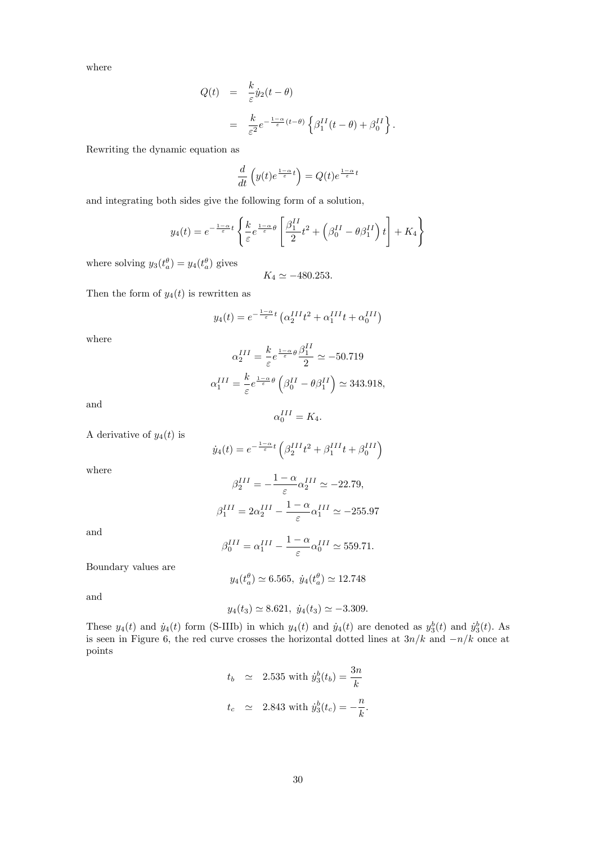where

$$
Q(t) = \frac{k}{\varepsilon} \dot{y}_2(t - \theta)
$$
  
= 
$$
\frac{k}{\varepsilon^2} e^{-\frac{1-\alpha}{\varepsilon}(t-\theta)} \left\{ \beta_1^{II}(t - \theta) + \beta_0^{II} \right\}.
$$

Rewriting the dynamic equation as

$$
\frac{d}{dt}\left(y(t)e^{\frac{1-\alpha}{\varepsilon}t}\right) = Q(t)e^{\frac{1-\alpha}{\varepsilon}t}
$$

and integrating both sides give the following form of a solution,

$$
y_4(t) = e^{-\frac{1-\alpha}{\varepsilon}t} \left\{ \frac{k}{\varepsilon} e^{\frac{1-\alpha}{\varepsilon}\theta} \left[ \frac{\beta_1^{II}}{2} t^2 + \left( \beta_0^{II} - \theta \beta_1^{II} \right) t \right] + K_4 \right\}
$$

where solving  $y_3(t_a^{\theta}) = y_4(t_a^{\theta})$  gives

$$
K_4 \simeq -480.253.
$$

Then the form of  $y_4(t)$  is rewritten as

$$
y_4(t) = e^{-\frac{1-\alpha}{\varepsilon}t} \left( \alpha_2^{III} t^2 + \alpha_1^{III} t + \alpha_0^{III} \right)
$$

where

$$
\alpha_2^{III} = \frac{k}{\varepsilon} e^{\frac{1-\alpha}{\varepsilon}\theta} \frac{\beta_1^{II}}{2} \simeq -50.719
$$

$$
\alpha_1^{III} = \frac{k}{\varepsilon} e^{\frac{1-\alpha}{\varepsilon}\theta} \left(\beta_0^{II} - \theta \beta_1^{II}\right) \simeq 343.918,
$$

and

$$
\alpha_0^{III} = K_4.
$$

A derivative of  $y_4(t)$  is

$$
\dot{y}_4(t) = e^{-\frac{1-\alpha}{\varepsilon}t} \left( \beta_2^{III} t^2 + \beta_1^{III} t + \beta_0^{III} \right)
$$

where

$$
\beta_2^{III} = -\frac{1 - \alpha}{\varepsilon} \alpha_2^{III} \simeq -22.79,
$$
  

$$
\beta_1^{III} = 2\alpha_2^{III} - \frac{1 - \alpha}{\varepsilon} \alpha_1^{III} \simeq -255.97
$$

and

$$
\beta_0^{III} = \alpha_1^{III} - \frac{1 - \alpha}{\varepsilon} \alpha_0^{III} \simeq 559.71.
$$

Boundary values are

$$
y_4(t_a^{\theta}) \simeq 6.565, \ \dot{y}_4(t_a^{\theta}) \simeq 12.748
$$

and

$$
y_4(t_3) \simeq 8.621, \ \dot{y}_4(t_3) \simeq -3.309.
$$

These  $y_4(t)$  and  $\dot{y}_4(t)$  form (S-IIIb) in which  $y_4(t)$  and  $\dot{y}_4(t)$  are denoted as  $y_3^b(t)$  and  $\dot{y}_3^b(t)$ . As is seen in Figure 6, the red curve crosses the horizontal dotted lines at  $3n/k$  and  $-n/k$  once at points

$$
t_b \simeq 2.535 \text{ with } \dot{y}_3^b(t_b) = \frac{3n}{k}
$$
  

$$
t_c \simeq 2.843 \text{ with } \dot{y}_3^b(t_c) = -\frac{n}{k}.
$$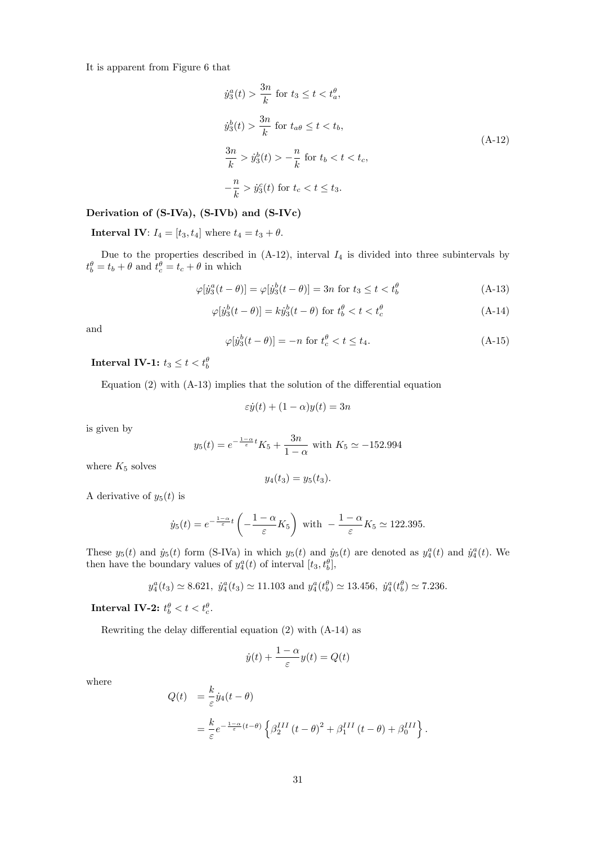It is apparent from Figure 6 that

$$
\dot{y}_3^a(t) > \frac{3n}{k} \text{ for } t_3 \le t < t_a^\theta,
$$
\n
$$
\dot{y}_3^b(t) > \frac{3n}{k} \text{ for } t_{a\theta} \le t < t_b,
$$
\n
$$
\frac{3n}{k} > \dot{y}_3^b(t) > -\frac{n}{k} \text{ for } t_b < t < t_c,
$$
\n
$$
-\frac{n}{k} > \dot{y}_3^c(t) \text{ for } t_c < t \le t_3.
$$
\n(A-12)

## Derivation of (S-IVa), (S-IVb) and (S-IVc)

**Interval IV:**  $I_4 = [t_3, t_4]$  where  $t_4 = t_3 + \theta$ .

Due to the properties described in  $(A-12)$ , interval  $I_4$  is divided into three subintervals by  $t_b^{\theta} = t_b + \theta$  and  $t_c^{\theta} = t_c + \theta$  in which

$$
\varphi[\dot{y}_3^a(t-\theta)] = \varphi[\dot{y}_3^b(t-\theta)] = 3n \text{ for } t_3 \le t < t_b^{\theta} \tag{A-13}
$$

$$
\varphi[\dot{y}_3^b(t-\theta)] = k\dot{y}_3^b(t-\theta) \text{ for } t_b^{\theta} < t < t_c^{\theta}
$$
 (A-14)

and

$$
\varphi[y_3^b(t-\theta)] = -n \text{ for } t_c^{\theta} < t \le t_4. \tag{A-15}
$$

Interval IV-1:  $t_3 \leq t < t_b^{\theta}$ 

Equation  $(2)$  with  $(A-13)$  implies that the solution of the differential equation

$$
\varepsilon \dot{y}(t) + (1 - \alpha)y(t) = 3n
$$

is given by

$$
y_5(t) = e^{-\frac{1-\alpha}{\varepsilon}t} K_5 + \frac{3n}{1-\alpha}
$$
 with  $K_5 \simeq -152.994$ 

where  $K_5$  solves

$$
y_4(t_3) = y_5(t_3).
$$

A derivative of  $y_5(t)$  is

$$
\dot{y}_5(t) = e^{-\frac{1-\alpha}{\varepsilon}t} \left( -\frac{1-\alpha}{\varepsilon} K_5 \right)
$$
 with  $-\frac{1-\alpha}{\varepsilon} K_5 \simeq 122.395$ .

These  $y_5(t)$  and  $\dot{y}_5(t)$  form (S-IVa) in which  $y_5(t)$  and  $\dot{y}_5(t)$  are denoted as  $y_4^a(t)$  and  $\dot{y}_4^a(t)$ . We then have the boundary values of  $y_4^a(t)$  of interval  $[t_3, t_b^{\theta}]$ ,

$$
y_4^a(t_3) \approx 8.621
$$
,  $\dot{y}_4^a(t_3) \approx 11.103$  and  $y_4^a(t_5^{\theta}) \approx 13.456$ ,  $\dot{y}_4^a(t_5^{\theta}) \approx 7.236$ .

Interval IV-2:  $t_b^{\theta} < t < t_c^{\theta}$ .

Rewriting the delay differential equation  $(2)$  with  $(A-14)$  as

$$
\dot{y}(t) + \frac{1-\alpha}{\varepsilon}y(t) = Q(t)
$$

where

$$
Q(t) = \frac{k}{\varepsilon} \dot{y}_4(t - \theta)
$$
  
= 
$$
\frac{k}{\varepsilon} e^{-\frac{1-\alpha}{\varepsilon}(t-\theta)} \left\{ \beta_2^{III} (t - \theta)^2 + \beta_1^{III} (t - \theta) + \beta_0^{III} \right\}.
$$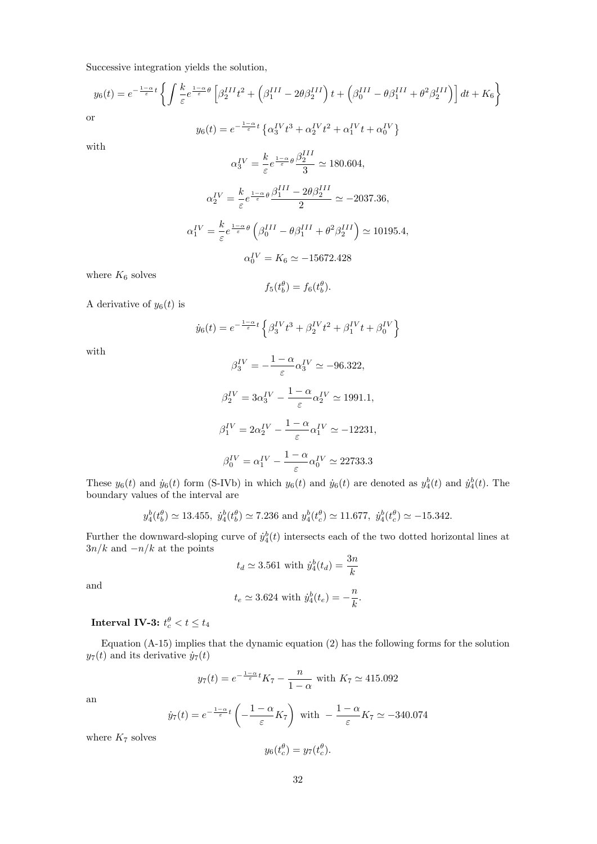Successive integration yields the solution,

$$
y_6(t) = e^{-\frac{1-\alpha}{\varepsilon}t} \left\{ \int \frac{k}{\varepsilon} e^{\frac{1-\alpha}{\varepsilon}\theta} \left[ \beta_2^{III} t^2 + \left( \beta_1^{III} - 2\theta \beta_2^{III} \right) t + \left( \beta_0^{III} - \theta \beta_1^{III} + \theta^2 \beta_2^{III} \right) \right] dt + K_6 \right\}
$$
  
r  

$$
y_6(t) = e^{-\frac{1-\alpha}{\varepsilon}t} \left\{ \alpha_3^{IV} t^3 + \alpha_2^{IV} t^2 + \alpha_1^{IV} t + \alpha_0^{IV} \right\}
$$

with

or

$$
\alpha_3^{IV} = \frac{k}{\varepsilon} e^{\frac{1-\alpha}{\varepsilon}\theta} \frac{\beta_2^{III}}{3} \approx 180.604,
$$
  

$$
\alpha_2^{IV} = \frac{k}{\varepsilon} e^{\frac{1-\alpha}{\varepsilon}\theta} \frac{\beta_1^{III} - 2\theta \beta_2^{III}}{2} \approx -2037.36,
$$
  

$$
\alpha_1^{IV} = \frac{k}{\varepsilon} e^{\frac{1-\alpha}{\varepsilon}\theta} \left( \beta_0^{III} - \theta \beta_1^{III} + \theta^2 \beta_2^{III} \right) \approx 10195.4,
$$
  

$$
\alpha_0^{IV} = K_6 \approx -15672.428
$$

where  $K_6$  solves

$$
f_5(t_b^{\theta}) = f_6(t_b^{\theta}).
$$

A derivative of  $y_6(t)$  is

$$
\dot{y}_6(t) = e^{-\frac{1-\alpha}{\varepsilon}t} \left\{ \beta_3^{IV} t^3 + \beta_2^{IV} t^2 + \beta_1^{IV} t + \beta_0^{IV} \right\}
$$

with

$$
\beta_3^{IV} = -\frac{1-\alpha}{\varepsilon} \alpha_3^{IV} \simeq -96.322,
$$
  
\n
$$
\beta_2^{IV} = 3\alpha_3^{IV} - \frac{1-\alpha}{\varepsilon} \alpha_2^{IV} \simeq 1991.1,
$$
  
\n
$$
\beta_1^{IV} = 2\alpha_2^{IV} - \frac{1-\alpha}{\varepsilon} \alpha_1^{IV} \simeq -12231,
$$
  
\n
$$
\beta_0^{IV} = \alpha_1^{IV} - \frac{1-\alpha}{\varepsilon} \alpha_0^{IV} \simeq 22733.3
$$

These  $y_6(t)$  and  $\dot{y}_6(t)$  form (S-IVb) in which  $y_6(t)$  and  $\dot{y}_6(t)$  are denoted as  $y_4^b(t)$  and  $\dot{y}_4^b(t)$ . The boundary values of the interval are

$$
y_4^b(t_b^{\theta}) \simeq 13.455, \ \dot{y}_4^b(t_b^{\theta}) \simeq 7.236 \ \text{and} \ y_4^b(t_c^{\theta}) \simeq 11.677, \ \dot{y}_4^b(t_c^{\theta}) \simeq -15.342.
$$

Further the downward-sloping curve of  $\dot{y}_4^b(t)$  intersects each of the two dotted horizontal lines at  $3n/k$  and  $-n/k$  at the points

$$
t_d \simeq 3.561 \text{ with } \dot{y}_4^b(t_d) = \frac{3n}{k}
$$
  

$$
t_e \simeq 3.624 \text{ with } \dot{y}_4^b(t_e) = -\frac{n}{k}.
$$

and

**Interval IV-3:** 
$$
t_c^{\theta} < t \leq t_4
$$

Equation (A-15) implies that the dynamic equation (2) has the following forms for the solution  $y_7(t)$  and its derivative  $\dot{y}_7(t)$ 

$$
y_7(t) = e^{-\frac{1-\alpha}{\varepsilon}t} K_7 - \frac{n}{1-\alpha}
$$
 with  $K_7 \simeq 415.092$ 

an

$$
\dot{y}_7(t) = e^{-\frac{1-\alpha}{\varepsilon}t} \left( -\frac{1-\alpha}{\varepsilon} K_7 \right)
$$
 with  $-\frac{1-\alpha}{\varepsilon} K_7 \simeq -340.074$ 

where  $K_7$  solves

$$
y_6(t_c^{\theta}) = y_7(t_c^{\theta}).
$$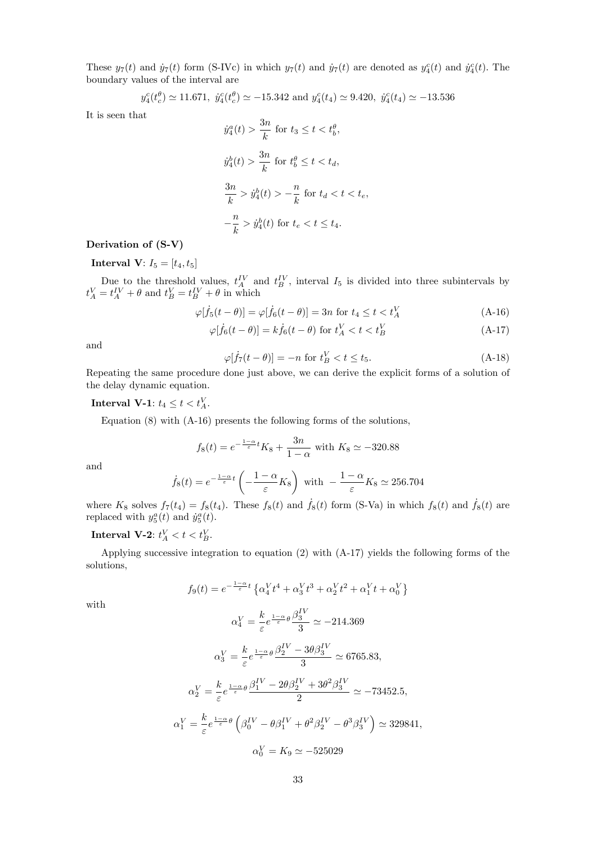These  $y_7(t)$  and  $\dot{y}_7(t)$  form (S-IVc) in which  $y_7(t)$  and  $\dot{y}_7(t)$  are denoted as  $y_4^c(t)$  and  $\dot{y}_4^c(t)$ . The boundary values of the interval are

$$
y_4^c(t_c^{\theta}) \simeq 11.671
$$
,  $y_4^c(t_c^{\theta}) \simeq -15.342$  and  $y_4^c(t_4) \simeq 9.420$ ,  $y_4^c(t_4) \simeq -13.536$ 

It is seen that

$$
\dot{y}_4^a(t) > \frac{3n}{k} \text{ for } t_3 \le t < t_b^{\theta},
$$
\n
$$
\dot{y}_4^b(t) > \frac{3n}{k} \text{ for } t_b^{\theta} \le t < t_d,
$$
\n
$$
\frac{3n}{k} > \dot{y}_4^b(t) > -\frac{n}{k} \text{ for } t_d < t < t_e,
$$
\n
$$
-\frac{n}{k} > \dot{y}_4^b(t) \text{ for } t_e < t \le t_4.
$$

#### Derivation of (S-V)

**Interval V**:  $I_5 = [t_4, t_5]$ 

Due to the threshold values,  $t_A^{IV}$  and  $t_B^{IV}$ , interval  $I_5$  is divided into three subintervals by  $t_A^V = t_A^{IV} + \theta$  and  $t_B^V = t_B^{IV} + \theta$  in which

$$
\varphi[\dot{f}_5(t-\theta)] = \varphi[\dot{f}_6(t-\theta)] = 3n \text{ for } t_4 \le t < t_A^V \tag{A-16}
$$

$$
\varphi[\dot{f}_6(t-\theta)] = k\dot{f}_6(t-\theta) \text{ for } t_A^V < t < t_B^V \tag{A-17}
$$

and

$$
\varphi[\dot{f}_7(t-\theta)] = -n \text{ for } t_B^V < t \le t_5. \tag{A-18}
$$

Repeating the same procedure done just above, we can derive the explicit forms of a solution of the delay dynamic equation.

Interval V-1:  $t_4 \leq t < t_A^V$ .

Equation  $(8)$  with  $(A-16)$  presents the following forms of the solutions,

$$
f_8(t) = e^{-\frac{1-\alpha}{\varepsilon}t} K_8 + \frac{3n}{1-\alpha}
$$
 with  $K_8 \simeq -320.88$ 

and

$$
\dot{f}_8(t) = e^{-\frac{1-\alpha}{\varepsilon}t} \left( -\frac{1-\alpha}{\varepsilon} K_8 \right)
$$
 with  $-\frac{1-\alpha}{\varepsilon} K_8 \simeq 256.704$ 

where  $K_8$  solves  $f_7(t_4) = f_8(t_4)$ . These  $f_8(t)$  and  $\dot{f}_8(t)$  form (S-Va) in which  $f_8(t)$  and  $\dot{f}_8(t)$  are replaced with  $y_5^a(t)$  and  $\dot{y}_5^a(t)$ .

## Interval V-2:  $t_A^V < t < t_B^V$ .

Applying successive integration to equation (2) with (A-17) yields the following forms of the solutions,

$$
f_9(t) = e^{-\frac{1-\alpha}{\varepsilon}t} \left\{ \alpha_4^V t^4 + \alpha_3^V t^3 + \alpha_2^V t^2 + \alpha_1^V t + \alpha_0^V \right\}
$$

with

$$
\alpha_4^V=\frac{k}{\varepsilon}e^{\frac{1-\alpha}{\varepsilon}\theta}\frac{\beta_3^{IV}}{3}\simeq-214.369
$$

$$
\alpha_3^V = \frac{k}{\varepsilon} e^{\frac{1-\alpha}{\varepsilon} \theta} \frac{\beta_2^{IV} - 3\theta \beta_3^{IV}}{3} \approx 6765.83,
$$
  

$$
\alpha_2^V = \frac{k}{\varepsilon} e^{\frac{1-\alpha}{\varepsilon} \theta} \frac{\beta_1^{IV} - 2\theta \beta_2^{IV} + 3\theta^2 \beta_3^{IV}}{2} \approx -73452.5,
$$
  

$$
\alpha_1^V = \frac{k}{\varepsilon} e^{\frac{1-\alpha}{\varepsilon} \theta} \left( \beta_0^{IV} - \theta \beta_1^{IV} + \theta^2 \beta_2^{IV} - \theta^3 \beta_3^{IV} \right) \approx 329841,
$$
  

$$
\alpha_0^V = K_9 \simeq -525029
$$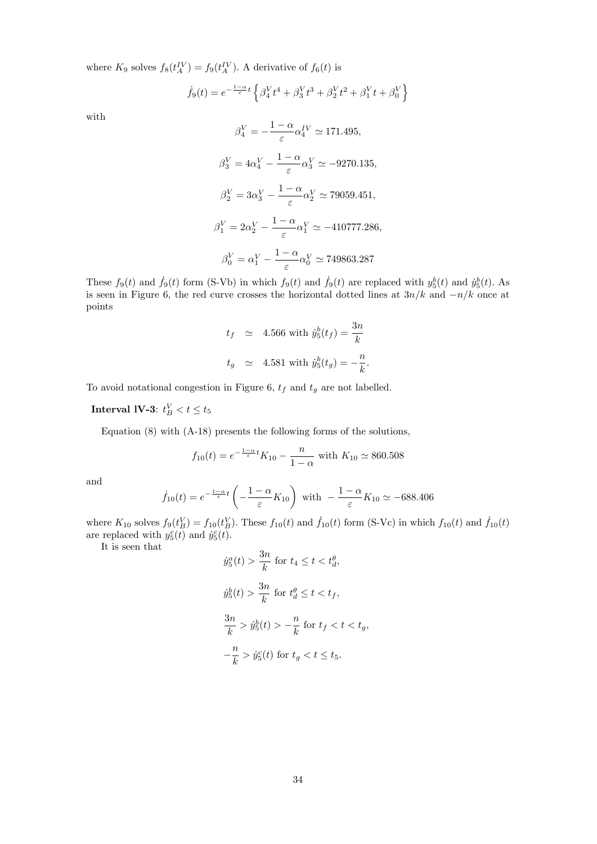where  $K_9$  solves  $f_8(t_A^{IV}) = f_9(t_A^{IV})$ . A derivative of  $f_6(t)$  is

$$
\dot{f}_9(t)=e^{-\frac{1-\alpha}{\varepsilon}t}\left\{\beta_4^Vt^4+\beta_3^Vt^3+\beta_2^Vt^2+\beta_1^Vt+\beta_0^V\right\}
$$

with

$$
\beta_4^V = -\frac{1-\alpha}{\varepsilon} \alpha_4^{IV} \approx 171.495,
$$
  
\n
$$
\beta_3^V = 4\alpha_4^V - \frac{1-\alpha}{\varepsilon} \alpha_3^V \approx -9270.135,
$$
  
\n
$$
\beta_2^V = 3\alpha_3^V - \frac{1-\alpha}{\varepsilon} \alpha_2^V \approx 79059.451,
$$
  
\n
$$
\beta_1^V = 2\alpha_2^V - \frac{1-\alpha}{\varepsilon} \alpha_1^V \approx -410777.286,
$$
  
\n
$$
\beta_0^V = \alpha_1^V - \frac{1-\alpha}{\varepsilon} \alpha_0^V \approx 749863.287
$$

These  $f_9(t)$  and  $\dot{f}_9(t)$  form (S-Vb) in which  $f_9(t)$  and  $\dot{f}_9(t)$  are replaced with  $y_5^b(t)$  and  $\dot{y}_5^b(t)$ . As is seen in Figure 6, the red curve crosses the horizontal dotted lines at  $3n/k$  and  $-n/k$  once at points

$$
t_f \simeq 4.566 \text{ with } \dot{y}_5^b(t_f) = \frac{3n}{k}
$$
  

$$
t_g \simeq 4.581 \text{ with } \dot{y}_5^b(t_g) = -\frac{n}{k}.
$$

To avoid notational congestion in Figure 6,  $t_f$  and  $t_g$  are not labelled.

Interval IV-3:  $t_B^V < t \le t_5$ 

Equation (8) with (A-18) presents the following forms of the solutions,

$$
f_{10}(t) = e^{-\frac{1-\alpha}{\varepsilon}t} K_{10} - \frac{n}{1-\alpha}
$$
 with  $K_{10} \simeq 860.508$ 

and

$$
\dot{f}_{10}(t) = e^{-\frac{1-\alpha}{\varepsilon}t} \left( -\frac{1-\alpha}{\varepsilon} K_{10} \right) \text{ with } -\frac{1-\alpha}{\varepsilon} K_{10} \simeq -688.406
$$

where  $K_{10}$  solves  $f_9(t_B^V) = f_{10}(t_B^V)$ . These  $f_{10}(t)$  and  $\dot{f}_{10}(t)$  form (S-Vc) in which  $f_{10}(t)$  and  $\dot{f}_{10}(t)$ are replaced with  $y_5^c(t)$  and  $\dot{y}_5^c(t)$ .

It is seen that

$$
\dot{y}_5^a(t) > \frac{3n}{k} \text{ for } t_4 \le t < t_d^{\theta},
$$
\n
$$
\dot{y}_5^b(t) > \frac{3n}{k} \text{ for } t_d^{\theta} \le t < t_f,
$$
\n
$$
\frac{3n}{k} > \dot{y}_5^b(t) > -\frac{n}{k} \text{ for } t_f < t < t_g,
$$
\n
$$
-\frac{n}{k} > \dot{y}_5^c(t) \text{ for } t_g < t \le t_5.
$$